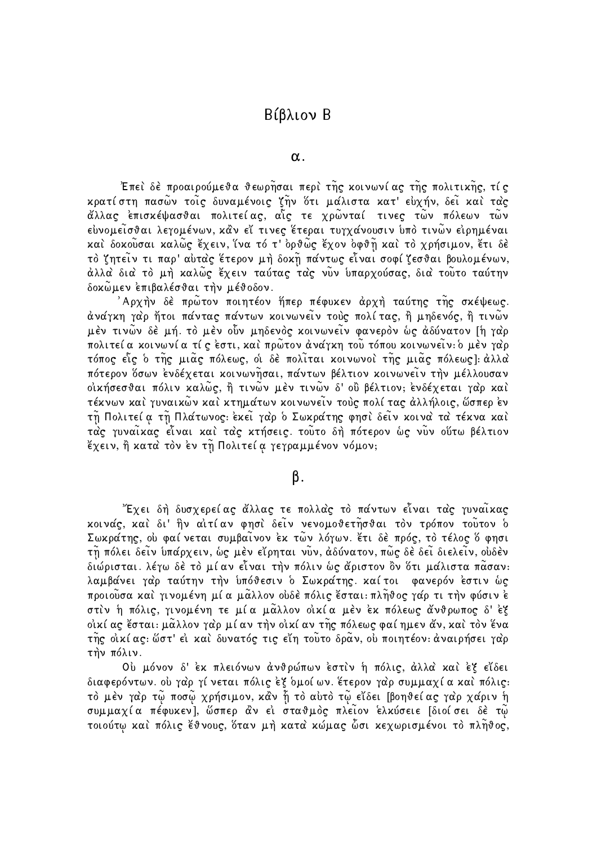# Βίβλιον Β

#### $\alpha$ .

Έπεὶ δὲ προαιρούμεθα θεωρησαι περὶ της κοινωνίας της πολιτικης, τίς κρατίστη πασῶν τοῖς δυναμένοις ζῆν ὅτι μαλιστα κατ' εὐχήν, δεῖ καὶ τας άλλας επισκέψασθαι πολιτείας, αίς τε χρώνταί τινες τών πόλεων τών εύνομείσθαι λεγομένων, κάν εί τινες έτεραι τυγχανουσιν υπό τινών ειρημέναι καὶ δοκούσαι καλὦς ἔχειν, ἵνα τό τ' ὀρθὦς ἔχον ὀφθη καὶ τὸ χρήσιμον, ἔτι δέ τὸ ζητεἶν τι παρ' αὐτας ἕτερον μη δοχῆ παντως εἶναι σοφί ζεσθαι βουλομένων, άλλα δια το μη καλώς έχειν ταύτας τας νύν υπαρχούσας, δια τούτο ταύτην δοκώμεν επιβαλέσθαι την μέθοδον.

'Αρχήν δέ πρώτον ποιητέον ήπερ πέφυχεν άρχη ταύτης της σχέψεως. άνάγκη γαρ ήτοι πάντας πάντων κοινωνείν τούς πολίτας, ή μηδενός, ή τινών μέν τινών δέ μή τὸ μέν οὖν μηδενὸς κοινωνεῖν φανερὸν ὡς ἀδύνατον [ἡ γαρ πολιτεί α κοινωνί α τί ς 'εστι, και πρώτον άνάγκη του τόπου κοινωνείν: δ μεν γαρ τόπος είς ο της μιάς πόλεως, οι δε πολίται κοινωνοι της μιάς πόλεως !: άλλα πότερον όσων ενδέχεται κοινωνῆσαι, πάντων βέλτιον κοινωνεἶν τὴν μέλλουσαν οικήσεσθαι πόλιν καλώς, ή τινών μέν τινών δ' οΰ βέλτιον; ενδέχεται γαρ και τέκνων και γυναικών και κτημάτων κοινωνείν τους πολί τας άλλήλοις, ώσπερ εν τη Πολιτεία τη Πλατωνος: εκεί γαρ ο Σωκρατης φησι δείν κοινα τα τέκνα και τας γυναίκας είναι και τας κτήσεις. τούτο δη πότερον ως νύν ούτω βέλτιον έχειν, ἢ κατα τον έν τῆ Πολιτεί α γεγραμμένον νόμον;

## β.

"Έχει δή δυσχερείας άλλας τε πολλας τὸ πάντων εἶναι τας γυναῖκας κοινάς, καὶ δι' ἣν αιτίαν φησὶ δείν νενομοθετησθαι τον τρόπον τούτον δ Σωκράτης, ου φαίνεται συμβαΐνον εκ των λόγων. έτι δε πρός, το τέλος δ φησι τη πόλει δείν υπαρχειν, ως μεν είρηται νύν, αδύνατον, πως δε δει διελείν, ουδεν διώρισται. λέγω δέ τὸ μίαν εἶναι την πόλιν ὡς ἄριστον ὂν ὅτι μάλιστα πᾶσαν: λαμβάνει γαρ ταύτην την υπόθεσιν ο Σωκράτης καίτοι φανερόν έστιν ώς προιοῦσα καὶ γινομένη μία μᾶλλον οὐδὲ πόλις ἔσται: πλῆθος γαρ τι τὴν φύσιν ἐ στίν ή πόλις, γινομένη τε μία μαλλον οικία μέν έκ πόλεως άνθρωπος δ' έξ οικί ας ἔσται: μᾶλλον γαρ μί αν τὴν οικί αν τῆς πόλεως φαί ημεν ἄν, καὶ τὸν ἕνα της σικίας: ώστ' ει και δυνατός τις είη τούτο δραν, ου ποιητέον: άναιρήσει γαρ την πόλιν.

Ου μόνον δ' έκ πλειόνων άνθρώπων έστιν η πόλις, άλλα και έξ είδει διαφερόντων. ού γαρ γίνεται πόλις εξ δμοί ων. έτερον γαρ συμμαχία και πόλις: το μεν γαρ τῷ ποσῷ χρήσιμον, κάν ἦ το αυτο τῷ εἴδει [βοηθεί ας γαρ χαριν ἡ συμμαχία πέφυχεν], ὥσπερ ἂν ει σταθμὸς πλεῖον ελκύσειε [διοίσει δε τω๊ τοιούτω και πόλις έθνους, όταν μή κατα κώμας ὦσι κεχωρισμένοι το πληθος,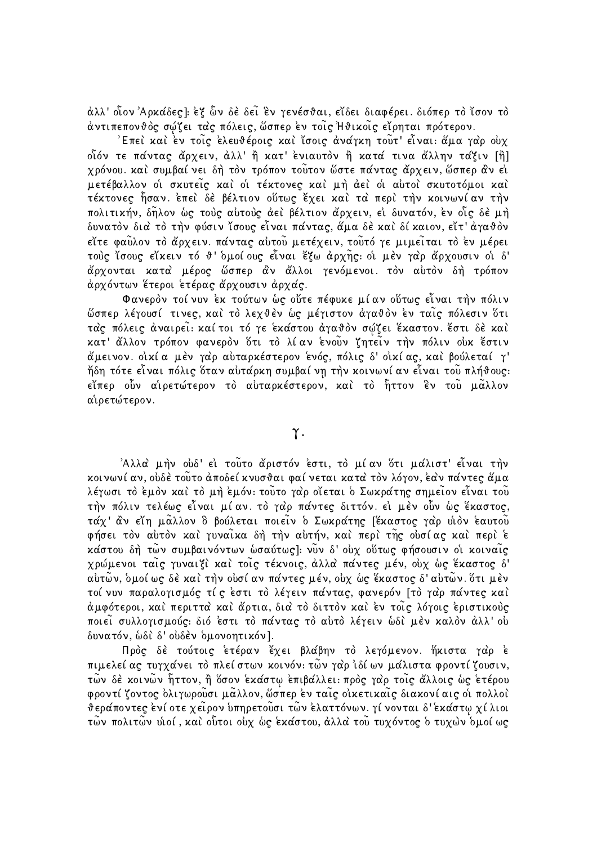άλλ' οἷον 'Αρκάδες ]: εξ ὧν δε δει εν γενέσθαι, είδει διαφέρει. διόπερ το Ίσον το άντιπεπονθός σώζει τας πόλεις, ώσπερ έν τοις Ήθικοις εζρηται πρότερον.

'Επεὶ καὶ έν τοἶς ἐλευθέροις καὶ ἴσοις ἀνάγκη τοὖτ' εἶναι: ἅμα γαρ οὐγ οἷόν τε πάντας ἄρχειν, ἀλλ' ἢ κατ' ενιαυτὸν ἢ κατά τινα ἄλλην ταξιν [ἢ] χρόνου. καὶ συμβαί νει δὴ τὸν τρόπον τοῦτον ὥστε πάντας ἄρχειν, ὥσπερ ἂν εἰ μετέβαλλον οι σκυτείς και οι τέκτονες και μή άει οι αύτοι σκυτοτόμοι και τέκτονες ήσαν. έπει δε βέλτιον ούτως έχει και τα περι την κοινωνίαν την πολιτικήν, δηλον ώς τους αυτους άει βέλτιον άρχειν, ει δυνατόν, εν οίς δε μη δυνατόν δια τό την φύσιν Ίσους είναι πάντας, άμα δέ και δί καιον, είτ' άγαθόν είτε φαύλον το άργειν. πάντας αυτού μετέγειν, τούτό γε μιμείται το έν μέρει τούς Ίσους εΊκειν τό θ' δμοίους εἶναι έξω άρχης: οι μεν γαρ άρχουσιν οι δ' άρχονται κατα μέρος ὥσπερ ἀν άλλοι γενόμενοι. τον αυτον δη τρόπον άρχόντων έτεροι ετέρας άρχουσιν άρχας.

Φανερὸν τοίνυν ἐκ τούτων ὡς οὔτε πέφυκε μίαν οὕτως εἶναι τὴν πόλιν ώσπερ λέγουσί τινες, και το λεχθεν ώς μέγιστον άγαθον εν ταις πόλεσιν ότι τας πόλεις άναιρεί: καί τοι τό γε έκαστου αγαθον σώζει έκαστον. έστι δέ και κατ' άλλον τρόπον φανερὸν ὅτι τὸ λίαν ἑνοῦν ζητεῖν τὴν πόλιν οὐκ ἔστιν άμεινον, σικία μέν γαρ αυταρκέστερον ένός, πόλις δ' σικίας, και βούλεταί γ' ήδη τότε είναι πόλις δταν αυτάρκη συμβαί νη την κοινωνί αν είναι του πλήθους: είπερ ούν αίρετώτερον το αυταρκέστερον, και το ήττον εν του μαλλον αίρετώτερον.

#### $\gamma$ .

Άλλα μήν ούδ' εί τοῦτο ἄριστόν 'εστι, τὸ μίαν ὅτι μάλιστ' εἶναι τήν κοινωνί αν, ούδέ τοῦτο ἀποδεί κνυσθαι φαί νεται κατα τον λόγον, ἐαν πάντες ἄμα λέγωσι τὸ 'εμὸν καὶ τὸ μὴ 'εμόν: τοῦτο γαρ οἴεται ὁ Σωκράτης σημεἶον εἶναι τοῦ τήν πόλιν τελέως εἶναι μίαν. τὸ γαρ πάντες διττόν. ει μεν οὖν ως ἕκαστος, τάχ' ἂν εζη μἆλλον ὃ βούλεται ποιείν ὁ Σωκράτης [έκαστος γαρ υίο νέαυτού φήσει τον αύτον και γυναίκα δη την αύτήν, και περι της ουσίας και περι ε κάστου δή τῶν συμβαινόντων ώσαύτως]: νῦν δ' οὐχ οὕτως φήσουσιν οἱ κοιναἶς χρώμενοι ταις γυναιζί και τοις τέκνοις, άλλα πάντες μέν, ουχ ως έκαστος δ' αύτῶν, δμοί ως δέ και την ούσί αν πάντες μέν, ούχ ως έκαστος δ' αυτῶν. ὅτι μεν τοί νυν παραλογισμός τίς έστι το λέγειν πάντας, φανερόν [το γαρ πάντες και ] άμφότεροι, και περιττα και άρτια, δια το διττον και εν τοις λόγοις εριστικούς ποιεί συλλογισμούς: διό 'εστι το πάντας το αύτο λέγειν ώδι μεν καλον άλλ' ού δυνατόν, ώδι δ' ούδεν δμονοητικόν].

Πρός δέ τούτοις ετέραν έχει βλάβην το λεγόμενον. ήκιστα γαρ έ πιμελεί ας τυγχάνει τὸ πλεί στων κοινόν: τῶν γαρ ἰδί ων μάλιστα φροντί ζουσιν, τῶν δὲ κοινῶν ἧττον, ἢ ὅσον ἑκαστω ἐπιβαλλει: πρὸς γαρ τοῖς ἄλλοις ὡς ἑτέρου φροντί ζοντος όλιγωρούσι μάλλον, ώσπερ έν ταις οίκετικαις διακονί αις οί πολλοι θεράποντες ένί οτε γείρον υπηρετούσι τὧν ελαττόνων, γί νονται δ' εκάστω γίλιοι τῶν πολιτῶν υίοί, καὶ οὗτοι οὐχ ὡς ἑκαστου, ἀλλα τοῦ τυχόντος ὁ τυχὼν ὁμοί ως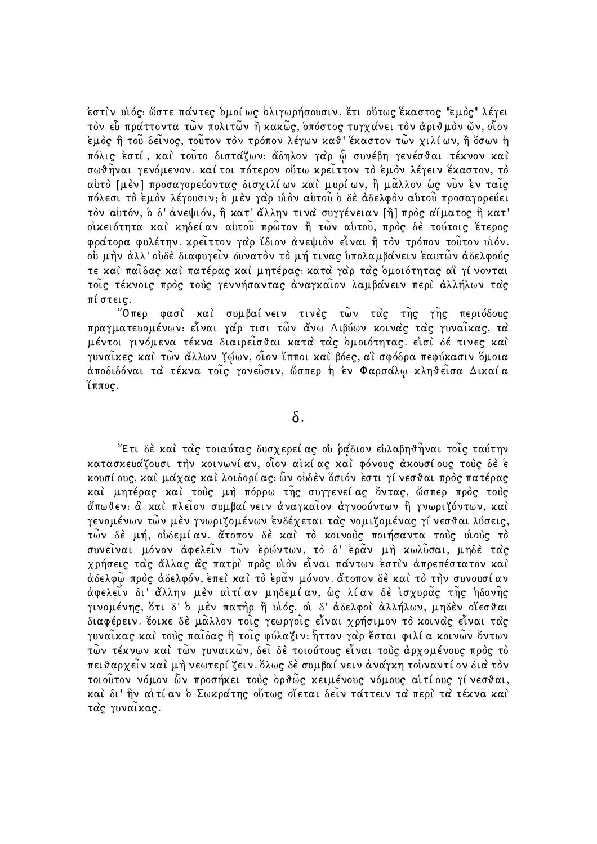έστὶν υἱός: ὥστε πάντες δμοίως ὀλιγωρήσουσιν. ἔτι οὕτως ἕκαστος "ἐμὸς" λέγει τον εὖ πράττοντα τὦν πολιτὦν ἢ κακὦς, δπόστος τυγχάνει τον άριθμον ὤν, οἶον έμὸς ἢ τοῦ δεῖνος, τοῦτον τὸν τρόπον λέγων καθ' ἕκαστον τῶν χιλί ων, ἢ ὅσων ἡ πόλις 'εστί, καὶ τοῦτο διστάζων: ἄδηλον γαρ ὧ συνέβη γενέσθαι τέκνον καὶ σωθηναι γενόμενον. καί τοι πότερον ούτω κρείττον το εμον λέγειν έκαστον, το αύτὸ [μεν] προσαγορεύοντας δισχιλί ων καὶ μυρί ων, ἢ μαλλον ώς νύν εν ταίς πόλεσι τὸ ἐμὸν λέγουσιν; ὁ μὲν γαρ υίον αυτοῦ ὁ δὲ ἀδελφον αυτοῦ προσαγορεύει τον αύτόν, ο δ' άνεψιόν, ή κατ' άλλην τινα συγγένειαν [ή] προς αίματος ή κατ' οικειότητα και κηδείαν αυτού πρώτον ή τών αυτού, προς δε τούτοις έτερος φράτορα φυλέτην, κρείττον γαρ ζδιον ανεψιον είναι ή τον τρόπον τούτον υίόν. ού μήν άλλ' ούδέ διαφυγείν δυνατόν το μή τινας υπολαμβάνειν εαυτών άδελφούς τε και παιδας και πατέρας και μητέρας: κατα γαρ τας δμοιότητας αι γίνονται τοις τέκνοις πρός τούς γεννήσαντας άναγκαιον λαμβάνειν περί άλλήλων τας πίστεις.

Όπερ φασὶ καὶ συμβαίνειν τινὲς τῶν τας τῆς γῆς περιόδους πραγματευομένων: εἶναι γάρ τισι των άνω Λιβύων κοινας τας γυναικας, τα μέντοι γινόμενα τέχνα διαιρείσθαι κατα τας δμοιότητας. είσι δέ τινες και γυναϊκες και τῶν ἄλλων ζώων, οἷον ἵπποι και βόες, αι σφόδρα πεφύκασιν ὅμοια άποδιδόναι τα τέκνα τοις γονεύσιν, ὥσπερ ή 'εν Φαρσάλω κληθείσα Δικαία  $<sup>γ</sup>ππος.$ </sup>

## δ.

"Έτι δὲ καὶ τας τοιαύτας δυσχερείας οὐ ῥαδιον εὐλαβηθῆναι τοἶς ταύτην κατασκευάζουσι την κοινωνίαν, οίον αικίας και φόνους άκουσίους τους δε ε κουσί ους, και μάχας και λοιδορίας: ὧν ουδεν δσιόν 'εστι γί νεσθαι προς πατέρας καί μητέρας καί τούς μή πόρρω της συγγενείας όντας, ώσπερ πρός τούς άπωθεν: α καὶ πλεῖον συμβαίνειν ἀναγκαῖον ἀγνοούντων ἢ γνωριζόντων, καὶ γενομένων τῶν μεν γνωριζομένων ενδέχεται τας νομιζομένας γίνεσθαι λύσεις, τών δέ μή, ούδεμίαν. άτοπον δέ και το κοινούς ποιήσαντα τούς υίους το συνείναι μόνον άφελείν τῶν 'ερώντων, τὸ δ' 'ερᾶν μή κωλῦσαι, μηδέ τας γρήσεις τας άλλας ας πατρι προς υίον είναι πάντων εστιν απρεπέστατον και άδελφῷ πρὸς ἀδελφόν, ἐπεὶ καὶ τὸ ἐρᾶν μόνον. ἄτοπον δὲ καὶ τὸ τὴν συνουσί αν άφελεΐν δι' άλλην μέν αιτίαν μηδεμίαν, ώς λίαν δε ισχυράς της ηδονης γινομένης, ότι δ' ο μέν πατήρ ή υίός, οι δ' άδελφοι άλλήλων, μηδέν οίεσθαι διαφέρειν. έοικε δε μαλλον τοις γεωργοις είναι χρήσιμον το κοινας είναι τας γυναίκας και τους παίδας ή τοις φύλαξιν: ήττον γαρ έσται φιλί α κοινων όντων τῶν τέκνων και τῶν γυναικῶν, δει δε τοιούτους εἶναι τους άρχομένους προς το πειθαρχείν και μή νεωτερί ζειν. δλως δε συμβαί νειν άνάγκη τούναντί ον δια τον τοιούτον νόμον ὧν προσήκει τούς 'ορθώς κειμένους νόμους αιτίους γίνεσθαι, καὶ δι' ἣν αἰτίαν ὁ Σωκράτης οὕτως οἴεται δεἶν τάττειν τα περὶ τα τέκνα καὶ τας γυναϊκας.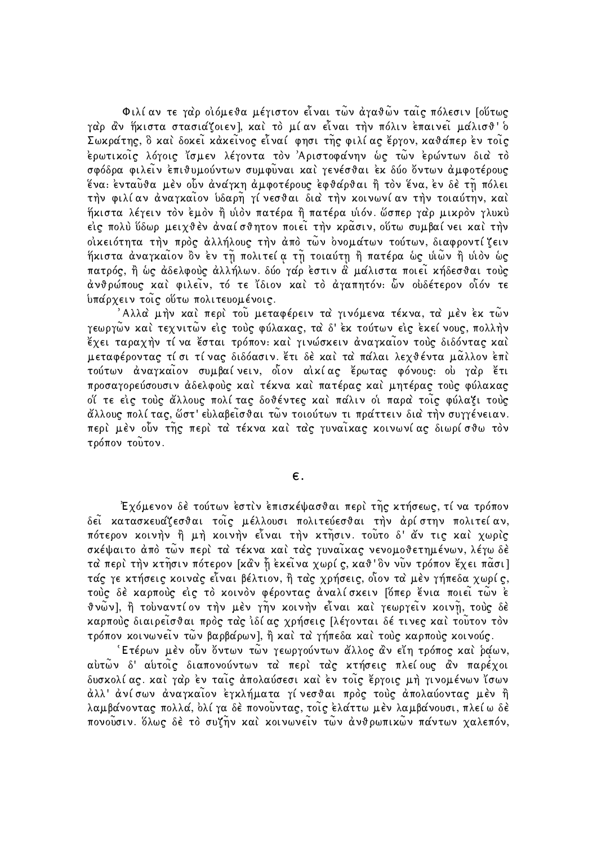Φιλίαν τε γαρ σιόμεθα μέγιστον είναι των άγαθων ταις πόλεσιν [ούτως γαρ αν ήκιστα στασιάζοιεν], καὶ τὸ μίαν εἶναι τὴν πόλιν ἐπαινεῖ μάλισθ' ὁ Σωκράτης, δ καὶ δοκεἶ κἀκεἶνος εἶναί φησι τῆς φιλίας ἔργον, καθάπερ ἐν τοἶς ἐρωτικοῖς λόγοις ἴσμεν λέγοντα τὸν Ἀριστοφανην ὡς τῶν ἐρώντων δια τὸ σφόδρα φιλείν επιθυμούντων συμφύναι και γενέσθαι εκ δύο όντων αμφοτέρους ένα: ένταῦθα μέν οὖν ἀνάγκη ἀμφοτέρους 'εφθάρθαι ἢ τὸν ἕνα, 'εν δε τῇ πόλει τήν φιλίαν άναγκαίον ύδαρη γίνεσθαι δια την κοινωνίαν την τοιαύτην, και ήκιστα λέγειν τον εμον ή υίον πατέρα ή πατέρα υίον. ώσπερ γαρ μικρον γλυκυ είς πολύ ύδωρ μειχθέν άναίσθητον ποιεί την κρασιν, ούτω συμβαίνει καί την .<br>οικειότητα την προς άλλήλους την άπο των ονομάτων τούτων, διαφροντίζειν πατρός, ή ώς άδελφούς άλλήλων. δύο γάρ έστιν α μάλιστα ποιεί κήδεσθαι τούς άνθρώπους και φιλείν, τό τε Ίδιον και το άγαπητόν: ὧν ουδέτερον οΐόν τε υπάρχειν τοις ούτω πολιτευομένοις.

΄Αλλα` μὴν καὶ περὶ τοῦ μεταφέρειν τα` γινόμενα τέκνα, τα` μὲν ἐκ τῶν γεωργών και τεχνιτών εις τους φύλακας, τα δ' εκ τούτων εις εκεί νους, πολλην έχει ταραχήν τίνα ἔσται τρόπον: καὶ γινώσκειν ἀναγκαῖον τοὺς διδόντας καὶ μεταφέροντας τίσι τίνας διδόασιν. έτι δέ και τα πάλαι λεχθέντα μαλλον επι τούτων αναγκαίον συμβαίνειν, οίον αικίας έρωτας φόνους: ου γαρ έτι προσαγορεύσουσιν άδελφούς και τέκνα και πατέρας και μητέρας τούς φύλακας οί τε είς τούς άλλους πολίτας δοθέντες και πάλιν οι παρα τοις φύλαξι τούς άλλους πολίτας, ώστ' εύλαβεῖσθαι τῶν τοιούτων τι πράττειν δια την συγγένειαν. περί μέν ούν της περί τα τέκνα καί τας γυναικας κοινωνίας διωρίσθω τον τρόπον τούτον.

 $\epsilon$ .

Έχόμενον δὲ τούτων ἐστὶν ἐπισκέψασθαι περὶ τῆς κτήσεως, τί να τρόπον δει κατασκευάζεσθαι τοις μέλλουσι πολιτεύεσθαι την αρίστην πολιτείαν, πότερον κοινήν ή μή κοινήν είναι τήν κτήσιν. τούτο δ' άν τις και χωρις σκέψαιτο άπό τῶν περὶ τα τέκνα καὶ τας γυναῖκας νενομοθετημένων, λέγω δε τα περι την κτησιν πότερον [καν ἦ ἐκεἶνα χωρίς, καθ ὃν νῦν τρόπον ἔχει πᾶσι] τάς γε κτήσεις κοινας είναι βέλτιον, ή τας χρήσεις, οίον τα μεν γήπεδα χωρίς, τούς δέ καρπούς είς τό κοινόν φέροντας άναλίσκειν [ύπερ ένια ποιεί των ε θνών], ή τούναντίον την μέν γην κοινην είναι και γεωργείν κοινη, τους δέ καρπούς διαιρείσθαι πρός τας ιδίας χρήσεις [λέγονται δέ τινες και τούτον τον τρόπον κοινωνείν τῶν βαρβάρων], ἢ καὶ τα γήπεδα καὶ τούς καρπούς κοινούς.

Έτέρων μεν οὖν ὄντων τῶν γεωργούντων ἄλλος ἂν εἴη τρόπος καὶ ῥάων, αυτών δ' αυτοίς διαπονούντων τα περί τας κτήσεις πλείους άν παρέχοι δυσκολίας. και γαρ έν ταις απολαύσεσι και έν τοις έργοις μη γινομένων ίσων άλλ' άνίσων άναγκαίον 'εγκλήματα γίνεσθαι πρός τούς άπολαύοντας μέν ή λαμβάνοντας πολλά, ολίγα δέ πονούντας, τοις ελάττω μέν λαμβάνουσι, πλείω δέ πονοῦσιν. ὅλως δὲ τὸ συζῆν καὶ κοινωνεῖν τῶν ἀνθρωπικῶν πάντων χαλεπόν,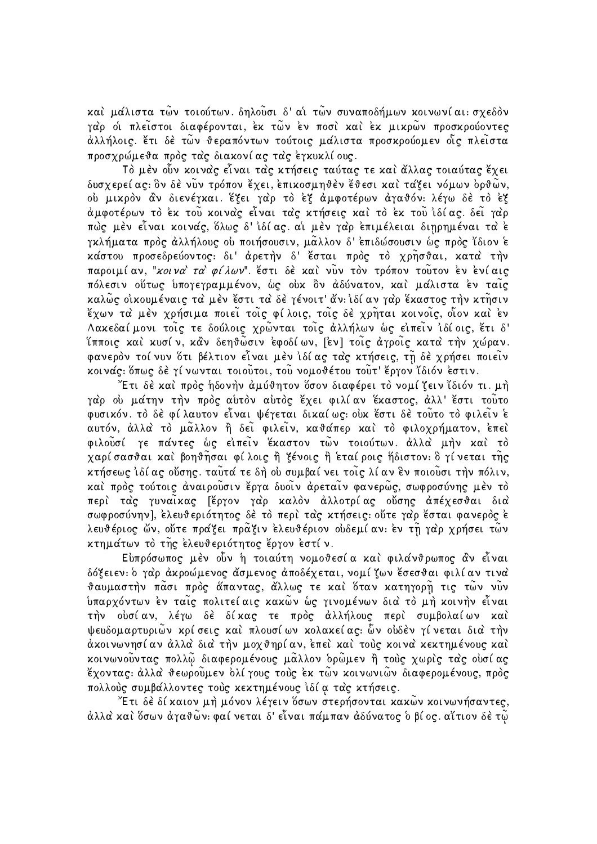καὶ μάλιστα τῶν τοιούτων. δηλοῦσι δ' αί τῶν συναποδήμων κοινωνίαι: σχεδὸν γαρ οι πλείστοι διαφέρονται, εκ τῶν εν ποσι και εκ μικρῶν προσκρούοντες άλλήλοις. έτι δέ τῶν θεραπόντων τούτοις μάλιστα προσκρούομεν οἷς πλείστα προσγρώμεθα πρός τας διακονίας τας εγκυκλίους.

Τό μέν ούν κοινας είναι τας κτήσεις ταύτας τε και άλλας τοιαύτας έχει δυσχερεί ας: δν δέ νὖν τρόπον έχει, επικοσμηθεν έθεσι και τάξει νόμων ορθὦν, ού μικρόν άν διενέγκαι. έξει γαρ το εξ άμφοτέρων άγαθόν: λέγω δε το εξ άμφοτέρων τὸ ἐκ τοῦ κοινας εἶναι τας κτήσεις καὶ τὸ ἐκ τοῦ ἰδίας. δεἶ γαρ πως μέν είναι κοινάς, δλως δ' ιδίας αι μέν γαρ επιμέλειαι διηρημέναι τα ε γκλήματα πρός άλλήλους ου ποιήσουσιν, μάλλον δ' επιδώσουσιν ως πρός Ίδιον ε κάστου προσεδρεύοντος: δι' άρετην δ' έσται πρός το γρησθαι, κατα την παροιμίαν, "κοινα' τα' φίλων". έστι δέ και νύν τον τρόπον τούτον εν ενίαις πόλεσιν ούτως υπογεγραμμένον, ώς ούκ ὂν άδύνατον, και μάλιστα έν ταις καλώς οικουμέναις τα μέν έστι τα δε γένοιτ' άν: ιδί αν γαρ έκαστος την κτησιν ἔχων τὰ μὲν χρήσιμα ποιεἶ τοἶς φίλοις, τοἶς δὲ χρῆται κοινοἶς, οἶον καὶ ἐν Λακεδαί μονι τοις τε δούλοις χρωνται τοις άλλήλων ως ειπειν ιδί οις, έτι δ' Ίπποις και κυσίν, κάν δεηθώσιν εφοδίων, [εν] τοις άγροις κατα την χώραν. φανερόν τοί νυν ότι βέλτιον είναι μέν ιδί ας τας κτήσεις, τη δέ χρήσει ποιείν κοινάς: Όπως δέ γίνωνται τοιούτοι, του νομοθέτου τουτ' έργον Ίδιόν 'εστιν.

"Έτι δὲ καὶ πρὸς ἡδονὴν ἀμύθητον ὅσον διαφέρει τὸ νομί ζειν ἴδιόν τι. μὴ γαρ ού μάτην την πρός αύτον αύτος έχει φιλίαν έκαστος, άλλ' έστι τούτο φυσικόν. τὸ δὲ φίλαυτον εἶναι ψέγεται δικαί ως: οὐκ ἔστι δὲ τοῦτο τὸ φιλεἶν ἑ αυτόν, άλλα το μαλλον ή δει φιλείν, καθάπερ και το φιλοχρήματον, επει φιλοῦσί γε πάντες ὡς εἰπεἶν ἕκαστον τὦν τοιούτων. ἀλλα μὴν καὶ τὸ γαρίσασθαι καὶ βοηθῆσαι φίλοις ἢ ξένοις ἢ έταίροις ἥδιστον: ὃ γίνεται τῆς κτήσεως ιδίας ούσης, ταύτά τε δη ου συμβαί νει τοις λίαν έν ποιούσι την πόλιν, καὶ πρὸς τούτοις ἀναιροῦσιν ἔργα δυοἶν ἀρεταἶν φανερῶς, σωφροσύνης μέν τὸ περι τας γυναϊκας [έργον γαρ καλον αλλοτρίας ούσης απέχεσθαι δια σωφροσύνην], ελευθεριότητος δε το περί τας κτήσεις: ούτε γαρ έσται φανερός ε λευθέριος ὤν, οὔτε πραξει πρᾶξιν ἐλευθέριον οὐδεμίαν: ἐν τῇ γαρ χρήσει τῶν κτημάτων το της ελευθεριότητος έργον εστίν.

Εύπρόσωπος μέν ούν ή τοιαύτη νομοθεσία και φιλάνθρωπος άν είναι δόξειεν: ο γαρ ακροώμενος άσμενος αποδέχεται, νομί ζων έσεσθαι φιλίαν τινα θαυμαστήν πάσι πρός άπαντας, άλλως τε και όταν κατηγορή τις τών νύν ύπαρχόντων έν ταις πολιτείαις κακών ώς γινομένων δια το μη κοινην είναι τήν ούσίαν, λέγω δέ δίκας τε πρός άλλήλους περί συμβολαίων καί ψευδομαρτυριών κρίσεις και πλουσίων κολακείας: ὧν ουδεν γίνεται δια την άκοινωνησίαν άλλα δια την μοχθηρίαν, επεί και τούς κοινα κεκτημένους και κοινωνούντας πολλώ διαφερομένους μάλλον δρώμεν ή τούς χωρίς τας ούσίας ἔχοντας: ἀλλα θεωροῦμεν ὀλί γους τοὺς ἐκ τῶν κοινωνιῶν διαφερομένους, πρὸς πολλούς συμβάλλοντες τούς κεκτημένους ιδία τας κτήσεις.

"Έτι δε δί καιον μή μόνον λέγειν δσων στερήσονται κακῶν κοινωνήσαντες, άλλα καὶ ὅσων ἀγαθῶν: φαί νεται δ' εἶναι πάμπαν ἀδύνατος ὁ βί ος. αἴτιον δὲ τῶ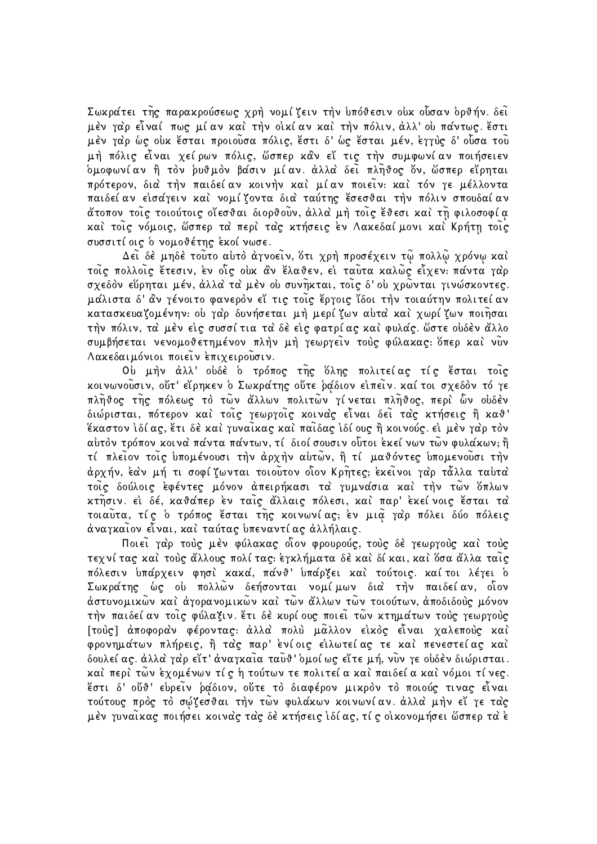Σωκράτει της παρακρούσεως χρη νομίζειν την υπόθεσιν ούκ ούσαν όρθήν. δεί μέν γαρ είναί πως μίαν και την οικίαν και την πόλιν, άλλ' ου πάντως. έστι μέν γαρ ώς ούκ έσται προιούσα πόλις, έστι δ' ώς έσται μέν, έγγυς δ' ούσα του μή πόλις εἶναι χείρων πόλις, ὥσπερ κἂν εἴ τις τὴν συμφωνίαν ποιήσειεν δμοφωνίαν ἢ τὸν ῥυθμὸν βάσιν μίαν. ἀλλα δεῖ πλῆθος ὄν, ὥσπερ εἴρηται πρότερον, δια την παιδεί αν κοινην και μίαν ποιείν: και τόν γε μέλλοντα παιδεί αν εισάγειν και νομί ζοντα δια ταύτης έσεσθαι την πόλιν σπουδαί αν άτοπον τοις τοιούτοις οἴεσθαι διορθοῦν, ἀλλα μὴ τοις ἔθεσι καὶ τῇ φιλοσοφία καί τοις νόμοις, ώσπερ τα περί τας κτήσεις εν Λακεδαί μονι και Κρήτη τοις συσσιτί οις ο νομοθέτης εκοί νωσε.

Δεί δε μηδε τούτο αυτό άγνοείν, ότι χρή προσέχειν τώ πολλώ χρόνω και τοις πολλοις έτεσιν, εν οίς ούκ άν έλαθεν, ει ταυτα καλως είχεν: πάντα γαρ σχεδόν εύρηται μέν, άλλα τα μέν ου συνηκται, τοις δ' ου χρωνται γινώσκοντες. μάλιστα δ' άν γένοιτο φανερόν εί τις τοις έργοις ίδοι την τοιαύτην πολιτεί αν κατασκευαζομένην: ού γαρ δυνήσεται μή μερίζων αύτα και χωρίζων ποιησαι τήν πόλιν, τα μέν είς συσσίτια τα δέ είς φατρίας και φυλάς. ὥστε ουδέν άλλο συμβήσεται νενομοθετημένον πλήν μή γεωργείν τούς φύλακας: ὅπερ καὶ νὖν Λακεδαιμόνιοι ποιείν επιχειρούσιν.

Ού μήν άλλ' ούδέ ο τρόπος της όλης πολιτείας τίς έσται τοις κοινωνούσιν, ούτ' είρηκεν ο Σωκράτης ούτε ράδιον ειπείν. καί τοι σχεδον τό γε πλῆθος τῆς πόλεως τὸ τῶν ἄλλων πολιτῶν γίνεται πλῆθος, περὶ ὧν οὐδὲν διώρισται, πότερον και τοις γεωργοις κοινας είναι δει τας κτήσεις ή καθ' έκαστον ιδίας, έτι δέ και γυναικας και παιδας ιδί ους ή κοινούς, ει μεν γαρ τον αύτον τρόπον κοινα πάντα πάντων, τί διοί σουσιν ούτοι εκεί νων τῶν φυλάκων; ἢ τί πλείον τοις υπομένουσι την άρχην αυτών, ή τί μαθόντες υπομενούσι την άρχήν, εαν μή τι σοφίζωνται τοιούτον οΐον Κρητες; εκείνοι γαρ τἆλλα ταυτα τοις δούλοις έφέντες μόνον άπειρήκασι τα γυμνάσια και την των δπλων κτήσιν. ει δέ, καθάπερ έν ταις άλλαις πόλεσι, και παρ' εκεί νοις έσται τα τοιαύτα, τίς ο τρόπος έσται της κοινωνίας; εν μια γαρ πόλει δύο πόλεις άναγκαΐον εἶναι, καὶ ταύτας ὑπεναντί ας ἀλλήλαις.

Ποιεί γαρ τους μέν φύλακας οίον φρουρούς, τους δέ γεωργους και τους τεχνί τας και τους άλλους πολί τας: εγκλήματα δε και δί και, και δσα άλλα ταις πόλεσιν υπάρχειν φησι κακά, πάνθ' υπάρξει και τούτοις. καίτοι λέγει δ Σωκράτης ώς ού πολλών δεήσονται νομίμων δια την παιδείαν, οΐον άστυνομικῶν καὶ ἀγορανομικῶν καὶ τῶν ἄλλων τῶν τοιούτων, ἀποδιδούς μόνον τήν παιδεί αν τοις φύλαξιν. έτι δε κυρί ους ποιει των κτημάτων τους γεωργους [τούς] άποφοραν φέροντας: άλλα πολύ μαλλον είκος είναι χαλεπούς και φρονημάτων πλήρεις, ή τας παρ' ένίοις είλωτείας τε και πενεστείας και δουλεί ας. άλλα γαρ είτ' άναγκαια ταυθ' δμοί ως είτε μή, νυν γε ουδεν διώρισται. καὶ περὶ τῶν ἐχομένων τίς ἡ τούτων τε πολιτεί α καὶ παιδεί α καὶ νόμοι τίνες. έστι δ' ούθ' ευρείν ράδιον, ούτε το διαφέρον μικρον το ποιούς τινας είναι τούτους πρός το σώζεσθαι την των φυλάκων κοινωνίαν. άλλα μην εί γε τας μέν γυναίκας ποιήσει κοινας τας δέ κτήσεις ιδίας, τίς οικονομήσει ώσπερ τα έ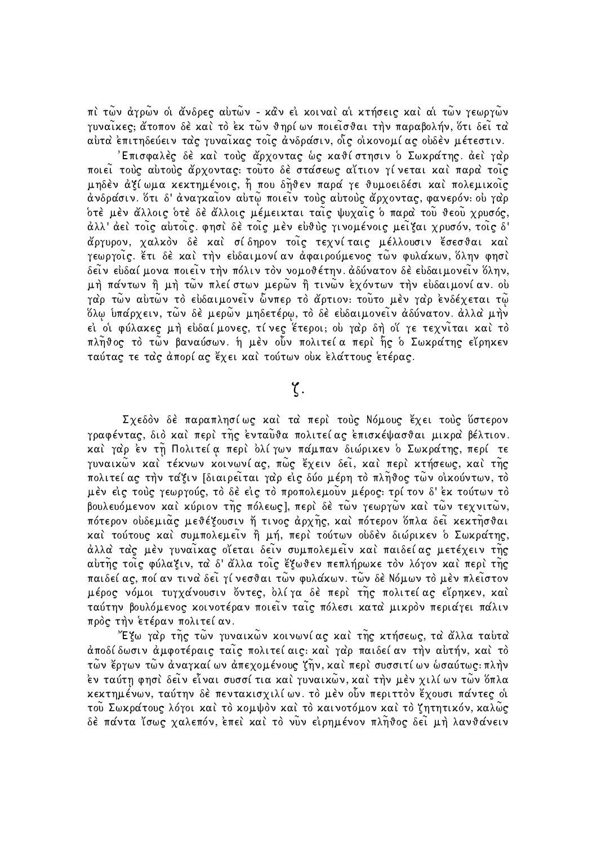πὶ τῶν ἀγρῶν οἱ ἄνδρες αὐτῶν - κἂν εἰ κοιναὶ αἱ κτήσεις καὶ αἱ τῶν γεωργῶν γυναίκες; άτοπον δέ και το έκ των θηρί ων ποιείσθαι την παραβολήν, ότι δεί τα αύτα επιτηδεύειν τας γυναίκας τοις ανδρασιν, οίς οικονομίας ούδεν μέτεστιν.

'Επισφαλές δέ καὶ τούς ἄρχοντας ώς καθίστησιν ὁ Σωκράτης. ἀεὶ γαρ ποιεί τούς αύτούς άρχοντας: τούτο δέ στάσεως αίτιον γίνεται και παρα τοις μηδέν άξίωμα κεκτημένοις, ή που δήθεν παρά γε θυμοειδέσι και πολεμικοις άνδράσιν. δτι δ' άναγκαίον αύτώ ποιείν τούς αύτούς άρχοντας, φανερόν: ού γαρ δτὲ μὲν ἄλλοις δτὲ δὲ ἄλλοις μέμεικται ταις ψυχαις δ παρα τοῦ θεοῦ χρυσός, άλλ' άεὶ τοἶς αὐτοἶς. φησὶ δε τοἶς μεν εὐθὺς γινομένοις μεἶξαι χρυσόν, τοἶς δ' άργυρον, χαλκόν δέ καὶ σίδηρον τοις τεχνίταις μέλλουσιν έσεσθαι καὶ γεωργοίς. έτι δέ και την ευδαιμονίαν άφαιρούμενος των φυλάκων, όλην φησι δείν ευδαί μονα ποιείν την πόλιν τον νομοθέτην. αδύνατον δε ευδαιμονείν δλην, μη πάντων ἢ μη τῶν πλεί στων μερῶν ἢ τινῶν 'εχόντων την εὐδαιμονί αν. οὐ γαρ τῶν αὐτῶν τὸ εὐδαιμονεῖν ὧνπερ τὸ ἄρτιον: τοῦτο μὲν γαρ ἐνδέχεται τῷ δλω υπάρχειν, τῶν δὲ μερῶν μηδετέρω, τὸ δὲ εὐδαιμονεῖν ἀδύνατον. ἀλλα μὴν ει οι φύλακες μη ευδαίμονες, τίνες έτεροι, ου γαρ δη οί γε τεχνίται και το πλη̃θος τὸ τῶν βαναύσων. ἡ μèν οὖν πολιτεία περὶ ἡς ὁ Σωκράτης εἴρηκεν ταύτας τε τας άπορί ας έχει και τούτων ουκ ελάττους ετέρας.

 $\mathfrak{C}.$ 

Σχεδόν δέ παραπλησίως και τα περι τους Νόμους έχει τους ύστερον γραφέντας, διὸ καὶ περὶ της ενταυνα πολιτεί ας επισκέψασναι μικρα βέλτιον. καί γαρ έν τη Πολιτεία περί ολίγων πάμπαν διώρικεν ο Σωκράτης, περί τε γυναικών και τέκνων κοινωνίας, πώς έχειν δεί, και περι κτήσεως, και της πολιτεί ας την ταζιν [διαιρείται γαρ εις δύο μέρη το πληθος των οικούντων, το μέν είς τούς γεωργούς, το δε είς το προπολεμούν μέρος: τρί τον δ' έκ τούτων το βουλευόμενον και κύριον της πόλεως], περι δε των γεωργών και των τεχνιτων, πότερον ούδεμιας μεθέζουσιν ή τινος άρχης, και πότερον δπλα δει κεκτησθαι καί τούτους καί συμπολεμείν ή μή, περί τούτων ούδέν διώρικεν ο Σωκράτης, άλλα τας μέν γυναϊκας σίεται δεϊν συμπολεμεϊν και παιδείας μετέχειν της αύτης τοις φύλαξιν, τα δ' άλλα τοις έξωθεν πεπλήρωκε τον λόγον και περι της παιδεί ας, ποί αν τινα δεί γίνεσθαι τῶν φυλάκων. τῶν δὲ Νόμων τὸ μὲν πλεἶστον μέρος νόμοι τυγχάνουσιν όντες, ολίγα δε περί της πολιτείας είρηκεν, καί ταύτην βουλόμενος κοινοτέραν ποιείν ταις πόλεσι κατα μικρον περιάγει πάλιν πρός την ετέραν πολιτεί αν.

<sup>γ</sup>Έζω γαρ τῆς τῶν γυναικῶν κοινωνίας καὶ τῆς κτήσεως, τὰ ἄλλα ταὐτὰ άποδί δωσιν άμφοτέραις ταις πολιτεί αις: και γαρ παιδεί αν την αυτήν, και το τῶν ἔργων τῶν ἀναγκαί ων ἀπεχομένους ζῆν, καὶ περὶ συσσιτί ων ὡσαύτως: πλὴν έν ταύτη φησὶ δεἶν εἶναι συσσί τια καὶ γυναικῶν, καὶ τὴν μὲν χιλί ων τῶν ὅπλα κεκτημένων, ταύτην δέ πεντακισχιλί ων. τὸ μὲν οὖν περιττὸν ἔχουσι πάντες οἱ τού Σωκράτους λόγοι και το κομψον και το καινοτόμον και το ζητητικόν, καλώς δὲ πάντα ἴσως χαλεπόν, ἐπεὶ καὶ τὸ νῦν εἰρημένον πλῆθος δεἶ μὴ λανθάνειν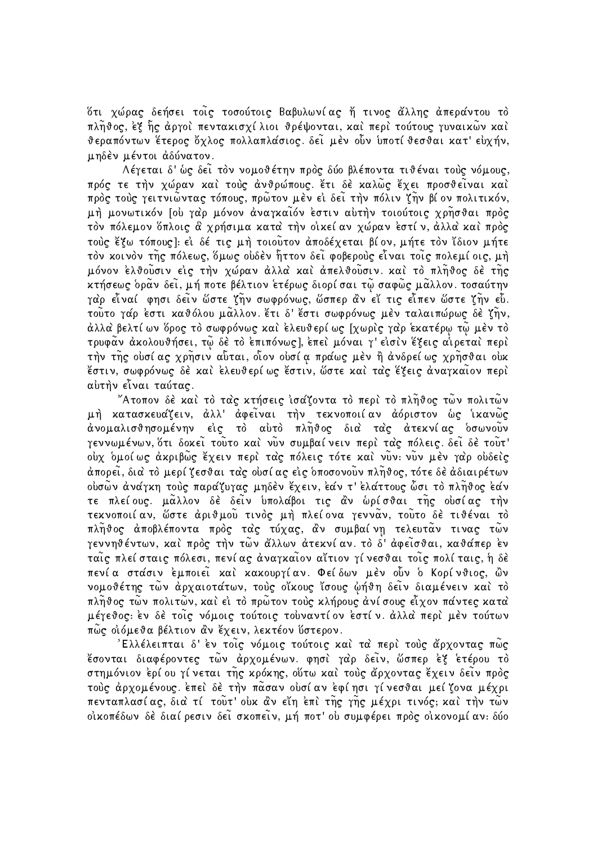δτι χώρας δεήσει τοις τοσούτοις Βαβυλωνίας ή τινος άλλης άπεραντου το πληθος, έξ ης άργοι πεντακισχίλιοι θρέψονται, και περι τούτους γυναικών και θεραπόντων έτερος ὄχλος πολλαπλάσιος. δεί μέν οὖν υποτίθεσθαι κατ' ευχήν, μηδέν μέντοι άδύνατον.

Λέγεται δ' ώς δεί τον νομοθέτην προς δύο βλέποντα τιθέναι τους νόμους, πρός τε την χώραν και τους ανθρώπους. έτι δε καλώς έχει προσθείναι και πρός τούς γειτνιώντας τόπους, πρώτον μέν εί δεί την πόλιν ζην βίον πολιτικόν, μή μονωτικόν [ού γαρ μόνον άναγκαιόν έστιν αύτήν τοιούτοις χρησθαι πρός τόν πόλεμον δπλοις δ γρήσιμα κατα την οίκεί αν γώραν 'εστίν, άλλα και πρός τούς έξω τόπους]: ει δέ τις μή τοιούτον αποδέγεται βίον, μήτε τον ίδιον μήτε τον κοινον της πόλεως, δμως ουδεν ήττον δεί φοβερούς είναι τοις πολεμί οις, μη μόνον ελθούσιν είς την χώραν άλλα και άπελθούσιν. και το πλήθος δε της κτήσεως δραν δεί, μή ποτε βέλτιον ετέρως διορίσαι τῷ σαφῶς μᾶλλον. τοσαύτην γαρ εἶναί φησι δεἶν ὥστε ζῆν σωφρόνως, ὥσπερ ἀν εἴ τις εἶπεν ὥστε ζῆν εὖ. τούτο γάρ έστι καθόλου μάλλον. έτι δ' έστι σωφρόνως μέν ταλαιπώρως δέ ζην, άλλα βελτί ων δρος το σωφρόνως και ελευθερί ως [χωρις γαρ εκατέρω τω μεν το τρυφαν άκολουθήσει, τω δέ το επιπόνως], επεί μόναι γ' είσιν έξεις αίρεται περι την της ουσίας χρησιν αύται, οίον ουσία πράως μέν ή ανδρείως χρησθαι ουκ έστιν, σωφρόνως δέ καὶ ἐλευθερί ως ἔστιν, ὥστε καὶ τας ἕξεις ἀναγκαῖον περὶ αύτην είναι ταύτας.

"Ατοπον δὲ καὶ τὸ τας κτήσεις ἰσαζοντα τὸ περὶ τὸ πλῆθος τῶν πολιτῶν μή κατασκευάζειν, άλλ' άφεἶναι τήν τεκνοποιίαν αόριστον ώς ίκανώς άνομαλισθησομένην είς το αύτο πληθος δια τας άτεκνίας δσωνούν γεννωμένων, ότι δοχει τούτο και νύν συμβαίνειν περι τας πόλεις. δει δε τουτ' ούχ δμοίως άκριβώς έχειν περί τας πόλεις τότε και νύν: νύν μεν γαρ ουδείς άπορει, δια το μερί ζεσθαι τας ουσίας εις δποσονούν πληθος, τότε δε άδιαιρέτων ούσων άνάγκη τούς παράζυγας μηδέν έχειν, εάν τ' ελάττους ὦσι το πληθος εάν τε πλείους. μάλλον δε δείν υπολάβοι τις άν ωρίσθαι της ουσίας την τεκνοποιίαν, ώστε άριθμού τινός μή πλείονα γεννάν, τούτο δέ τιθέναι τό πλῆθος ἀποβλέποντα πρὸς τας τύχας, ἀν συμβαίνη τελευταν τινας τῶν γεννηθέντων, και προς την των άλλων ατεκνίαν. το δ' αφεισθαι, καθάπερ εν ταις πλεί σταις πόλεσι, πενίας άναγκαιον αίτιον γίνεσθαι τοις πολί ταις, ή δέ πενία στάσιν 'εμποιεῖ καὶ κακουργίαν. Φείδων μεν οὖν δ Κορίνθιος, ὢν νομοθέτης των άρχαιοτάτων, τούς οίκους ίσους ώήθη δείν διαμένειν καί τό πληθος τῶν πολιτῶν, και ει το πρῶτον τους κλήρους ἀνίσους εἶχον πάντες κατα μέγεθος: έν δέ τοις νόμοις τούτοις τούναντίον έστίν. άλλα περί μέν τούτων πώς σιόμεθα βέλτιον άν έχειν, λεκτέον ύστερον.

'Ελλέλειπται δ' έν τοῖς νόμοις τούτοις καὶ τὰ περὶ τοὺς ἄρχοντας πὦς έσονται διαφέροντες τῶν ἀρχομένων. φησὶ γαρ δεῖν, ὥσπερ ἐξ ἑτέρου τὸ στημόνιον 'ερί ου γί νεται της κρόκης, ούτω και τους άρχοντας έχειν δείν προς τούς άρχομένους έπει δε την πάσαν ουσίαν εφίησι γίνεσθαι μεί ζονα μέχρι πενταπλασίας, δια τί τούτ' ούκ άν εἴη ἐπὶ της γης μέχρι τινός; καὶ την των οικοπέδων δέ διαί ρεσιν δει σκοπείν, μή ποτ' ου συμφέρει πρός οικονομί αν: δύο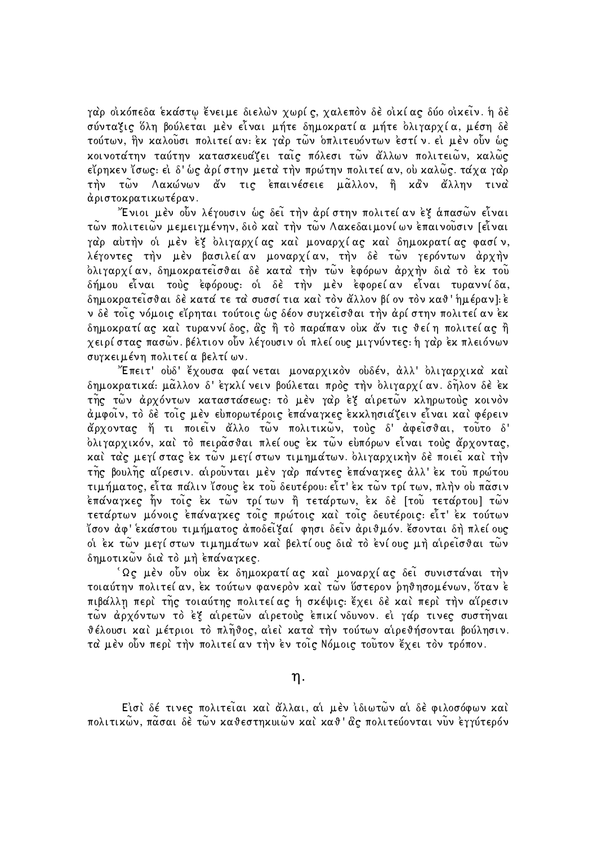γαρ οικόπεδα έκαστω ένειμε διελων χωρίς, χαλεπον δε οικίας δύο οικείν. η δε σύνταξις όλη βούλεται μέν είναι μήτε δημοκρατία μήτε ολιγαρχία, μέση δέ τούτων, ην καλούσι πολιτεί αν: εκ γαρ των οπλιτευόντων εστίν. εί μεν ούν ως κοινοτάτην ταύτην κατασκευάζει ταις πόλεσι των άλλων πολιτειων, καλώς εἴρηκεν ἴσως: εί δ' ως ἀρί στην μετα την πρώτην πολιτεί αν, ου καλως. τάχα γαρ την τῶν Λακώνων ἄν τις 'επαινέσειε μᾶλλον, ἢ κἀν ἄλλην τινα' άριστοκρατικωτέραν.

<sup>γ</sup>Ένιοι μὲν οὖν λέγουσιν ὡς δεἶ τὴν ἀρί στην πολιτείαν ἐξ ἁπασῶν εἶναι τῶν πολιτειῶν μεμειγμένην, διὸ καὶ τὴν τῶν Λακεδαιμονί ων ἐπαινοῦσιν [εἶναι γαρ αύτην οί μέν έζ ολιγαρχίας και μοναρχίας και δημοκρατίας φασίν, λέγοντες την μέν βασιλείαν μοναρχίαν, την δε τών γερόντων άρχην ,<br>όλιγαρχίαν, δημοκρατεῖσθαι δὲ κατὰ τὴν τὧν ἐφόρων ἀρχὴν διὰ τὸ ἐκ τοῦ δήμου είναι τούς εφόρους: οί δε την μεν εφορείαν είναι τυραννίδα, δημοκρατείσθαι δέ κατά τε τα συσσί τια και τον άλλον βί ον τον καθ' ημέραν]: ε ν δέ τοις νόμοις είρηται τούτοις ώς δέον συγκεισθαι την αρί στην πολιτεί αν έκ δημοκρατίας και τυραννίδος, άς ή το παράπαν ούκ άν τις θείη πολιτείας ή γειρί στας πασὧν. βέλτιον οὖν λέγουσιν οἱ πλεί ους μιγνύντες: ἡ γαρ 'εκ πλειόνων συγκειμένη πολιτεία βελτίων.

"Έπειτ' οὐδ' ἔχουσα φαίνεται μοναρχικὸν οὐδέν, ἀλλ' ὀλιγαρχικα καὶ δημοκρατικά: μάλλον δ' εγκλί νειν βούλεται πρός την ολιγαρχίαν. δηλον δε εκ της τών άρχόντων καταστάσεως: το μέν γαρ εξ αίρετων κληρωτούς κοινον άμφοιν, το δέ τοις μέν ευπορωτέροις επάναγκες εκκλησιάζειν είναι και φέρειν άρχοντας ή τι ποιείν άλλο των πολιτικων, τούς δ' αφείσθαι, τούτο δ' ολιγαρχικόν, καὶ τὸ πειρἆσθαι πλεί ους ἐκ τῶν εὐπόρων εἶναι τοὺς ἄρχοντας, καὶ τας μεγί στας ἐκ τὦν μεγί στων τιμημάτων. ὀλιγαρχικήν δὲ ποιεἶ καὶ τὴν της βουλης αίρεσιν. αίρούνται μέν γαρ πάντες επάναγκες άλλ' εκ του πρώτου τιμήματος, εἶτα πάλιν ἴσους 'εκ τοῦ δευτέρου: εἶτ' 'εκ τῶν τρί των, πλην οὐ πασιν έπαναγκες ἦν τοἶς 'εκ τῶν τρίτων ἢ τεταρτων, 'εκ δὲ [τοῦ τεταρτου] τῶν τετάρτων μόνοις επάναγκες τοις πρώτοις και τοις δευτέροις: είτ' έκ τούτων Ίσον άφ' εκάστου τιμήματος άποδεϊζαί φησι δείν άριθμόν. έσονται δη πλεί ους οί έκ τῶν μεγίστων τιμημάτων καὶ βελτίους δια τὸ ἐνίους μὴ αίρεἶσθαι τῶν δημοτικών δια το μή επάναγκες.

<sup>'</sup>Ως μέν οὖν οὐκ 'εκ δημοκρατίας καὶ μοναρχίας δεἶ συνιστάναι τὴν τοιαύτην πολιτεί αν, έκ τούτων φανερόν και των ύστερον ρηθησομένων, όταν ε πιβάλλη περί της τοιαύτης πολιτείας ή σκέψις: έχει δέ και περί την αίρεσιν των άρχόντων το έξ αίρετων αίρετούς επικίνδυνον. εί γάρ τινες συστήναι θέλουσι καὶ μέτριοι τὸ πλῆθος, αἰεὶ κατα την τούτων αίρεθήσονται βούλησιν. τα μέν οὖν περί την πολιτεί αν την έν τοις Νόμοις τουτον έχει τον τρόπον.

#### $\eta$ .

Είσι δέ τινες πολιτείαι και άλλαι, αι μεν ιδιωτών αι δε φιλοσόφων και πολιτικῶν, πᾶσαι δὲ τῶν καθεστηκυιῶν καὶ καθ' ἃς πολιτεύονται νῦν ἐγγύτερόν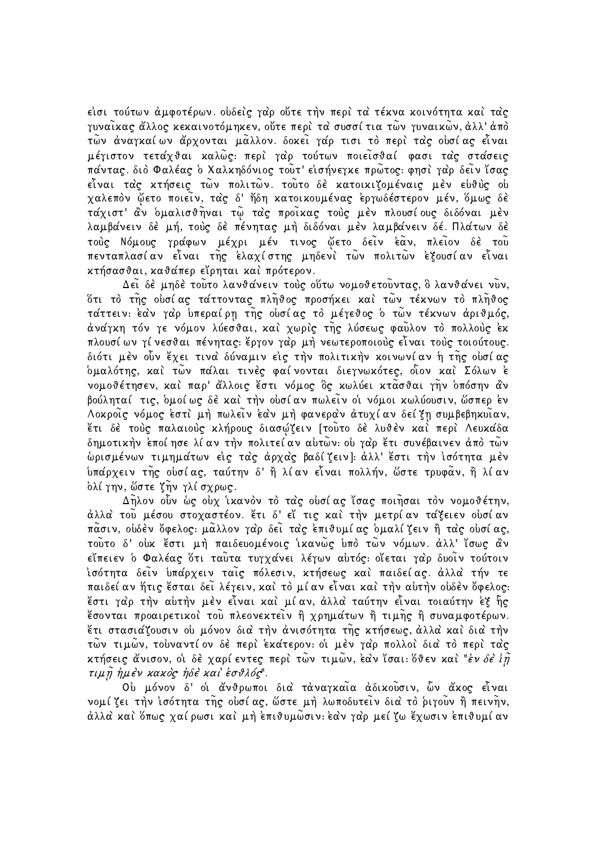είσι τούτων άμφοτέρων. ούδεις γαρ ούτε την περι τα τέκνα κοινότητα και τας γυναίκας άλλος κεκαινοτόμηκεν, ούτε περί τα συσσί τια τών γυναικών, άλλ' άπό τῶν ἀναγκαίων ἄρχονται μᾶλλον. δοκεἶ γάρ τισι τὸ περὶ τας οὐσίας εἶναι μέγιστον τετάχθαι καλώς: περί γαρ τούτων ποιείσθαί φασι τας στάσεις πάντας. διὸ Φαλέας ὁ Χαλκηδόνιος τουτ' εισήνεγκε πρώτος: φησι γαρ δείν ἴσας είναι τας κτήσεις των πολιτων. τούτο δέ κατοικιζομέναις μέν εύθυς ού χαλεπόν ὤετο ποιείν, τας δ' ἤδη κατοικουμένας 'εργωδέστερον μέν, Όμως δέ τάχιστ' άν δμαλισθηναι τώ τας προίκας τούς μέν πλουσίους διδόναι μέν λαμβάνειν δέ μή, τούς δέ πένητας μή διδόναι μέν λαμβάνειν δέ. Πλάτων δέ τούς Νόμους γράφων μέχρι μέν τινος ὤετο δεἶν 'εᾶν, πλεἶον δε τοῦ πενταπλασίαν εἶναι της 'ελαγίστης μηδενι' των πολιτων 'εξουσίαν εἶναι κτήσασθαι, καθάπερ είρηται και πρότερον.

Δεί δέ μηδέ τούτο λανθάνειν τούς ούτω νομοθετούντας, δ λανθάνει νύν, δτι τὸ τῆς οὐσίας τάττοντας πλῆθος προσήκει καὶ τῶν τέκνων τὸ πλῆθος τάττειν: εαν γαρ υπεραίρη της ουσίας το μέγεθος ο των τέκνων αριθμός, άνάγκη τόν γε νόμον λύεσθαι, και χωρις της λύσεως φαύλον το πολλους εκ πλουσίων γίνεσθαι πένητας: έργον γαρ μή νεωτεροποιούς είναι τούς τοιούτους. διότι μέν οὖν έγει τινα δύναμιν είς την πολιτικην κοινωνίαν η της ουσίας δμαλότης, καὶ τῶν πάλαι τινές φαίνονται διεγνωκότες, οἶον καὶ Σόλων 'ε νομοθέτησεν, και παρ' άλλοις έστι νόμος δς κωλύει κτασθαι γην δπόσην αν βούληταί τις, δμοίως δέ καὶ τὴν οὐσίαν πωλεἶν οἱ νόμοι κωλύουσιν, ὥσπερ 'εν Λοκροίς νόμος έστι μη πωλείν έαν μη φανεραν άτυχίαν δεί ζη συμβεβηκυίαν, έτι δέ τούς παλαιούς κλήρους διασώζειν [τοῦτο δέ λυθέν καὶ περὶ Λευκάδα δημοτικήν εποί ησε λίαν τήν πολιτείαν αύτων: ού γαρ έτι συνέβαινεν άπο των ώρισμένων τιμημάτων είς τας άρχας βαδίζειν]: άλλ' έστι την ισότητα μεν υπάρχειν τῆς οὐσίας, ταύτην δ' ἢ λίαν εἶναι πολλήν, ὥστε τρυφᾶν, ἢ λίαν ολί γην, ὥστε ζῆν γλί σχρως.

Δηλον ούν ώς ούχ ίκανον το τας ουσίας ίσας ποιησαι τον νομοθέτην, άλλα του μέσου στοχαστέον. έτι δ' εἴ τις και την μετρίαν τάξειεν ουσίαν πασιν, ούδεν ὄφελος: μαλλον γαρ δει τας επιθυμίας δμαλίζειν ή τας ούσίας, τούτο δ' ούκ έστι μή παιδευομένοις ίκανως υπό των νόμων. άλλ' ίσως άν εΊπειεν ο Φαλέας ότι ταύτα τυγχανει λέγων αυτός: σΊεται γαρ δυοίν τούτοιν ισότητα δεῖν ὑπάρχειν ταῖς πόλεσιν, κτήσεως καὶ παιδείας. ἀλλα τήν τε παιδεί αν ήτις έσται δει λέγειν, και το μίαν είναι και την αυτην ουδεν όφελος: ἔστι γαρ τὴν αὐτὴν μὲν εἶναι καὶ μίαν, ἀλλα ταύτην εἶναι τοιαύτην ἐξ ἡς έσονται προαιρετικοὶ τοῦ πλεονεκτεἶν ἢ χρημάτων ἢ τιμῆς ἢ συναμφοτέρων. έτι στασιάζουσιν οὐ μόνον δια τὴν ἀνισότητα τῆς κτήσεως, ἀλλα καὶ δια τὴν τῶν τιμῶν, τοὐναντί ον δέ περὶ Έκάτερον: οί μέν γαρ πολλοί δια το περί τας κτήσεις άνισον, οί δέ χαρί εντες περί των τιμων, εαν Ίσαι: όθεν και "έν δε ί $\tilde{\eta}$ τιμη ήμεν κακός ήδε και έσθλός".

Ου μόνον δ' οι άνθρωποι δια τάναγκαια άδικούσιν, ὧν άκος είναι νομίζει την ισότητα της ουσίας, ώστε μη λωποδυτείν δια το ριγούν ή πεινην, άλλα καὶ ὅπως γαίρωσι καὶ μὴ ἐπιθυμὦσιν: ἐαν γαρ μεί ζω ἔγωσιν ἐπιθυμί αν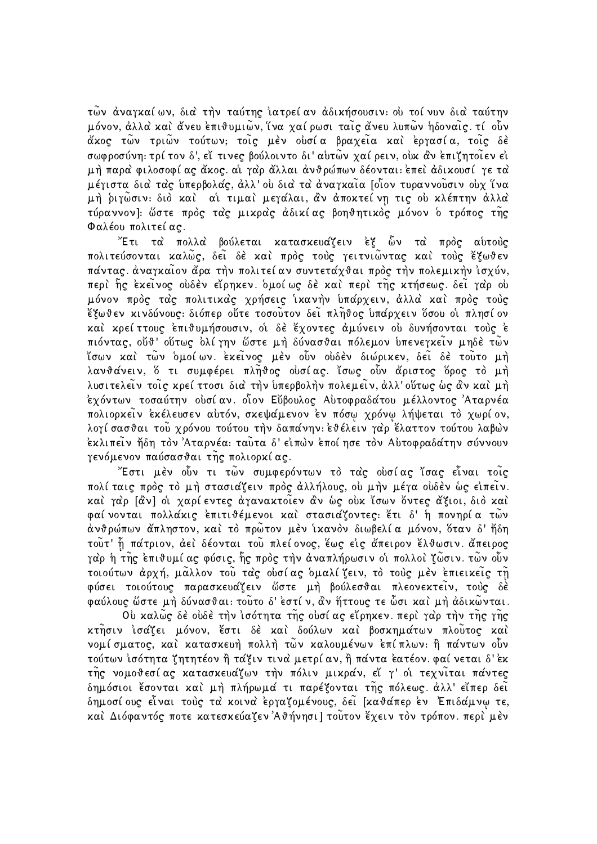των άναγκαί ων, δια την ταύτης ιατρεί αν αδικήσουσιν: ού τοί νυν δια ταύτην μόνον, άλλα και άνευ επιθυμιών, ίνα γαί ρωσι ταις άνευ λυπών ηδοναις. τί ούν άκος τῶν τριῶν τούτων; τοῖς μὲν οὐσία βραχεῖα καὶ ἐργασία, τοῖς δὲ σωφροσύνη: τρί τον δ', εί τινες βούλοιντο δι' αυτών χαί ρειν, ουκ άν επιζητοιεν ει μή παρα φιλοσοφίας άκος. αι γαρ άλλαι ανθρώπων δέονται: επει άδικουσί γε τα μέγιστα δια τας υπερβολάς, άλλ' ου δια τα άναγκαια [οίον τυραννούσιν ουγ ίνα μή ριγωσιν: διὸ καὶ αί τιμαὶ μεγάλαι, ἀν ἀποκτείνη τις οὐ κλέπτην ἀλλα τύραννον]: ώστε πρός τας μικρας αδικίας βοηθητικός μόνον ο τρόπος της Φαλέου πολιτεί ας.

"Έτι τα πολλα βούλεται κατασκευάζειν εξ ὧν τα πρός αυτους πολιτεύσονται καλώς, δει δέ και πρός τους γειτνιωντας και τους έξωθεν πάντας. άναγκαίον άρα την πολιτεί αν συντετάχθαι πρός την πολεμικήν ισχύν, περί ής έκεινος ούδεν είρηκεν. δμοίως δε και περί της κτήσεως. δει γαρ ού μόνον πρός τας πολιτικας χρήσεις ίκανην υπάρχειν, άλλα και πρός τούς ζζωθεν κινδύνους: διόπερ οὔτε τοσοῦτον δεἶ πλῆθος ὑπαργειν ὅσου οἱ πλησίον καί κρείττους επιθυμήσουσιν, οί δε έχοντες αμύνειν ου δυνήσονται τούς ε πιόντας, ούθ' ούτως 'ολί γην ώστε μη δύνασθαι πόλεμον υπενεγκείν μηδέ των ζσων καὶ τῶν δμοίων. ἐκεἶνος μέν οὖν οὐδέν διώρικεν, δεἶ δὲ τοῦτο μή λανθάνειν, δ τι συμφέρει πληθος ούσίας. Ίσως ούν άριστος δρος το μή λυσιτελείν τοις κρεί ττοσι δια την υπερβολην πολεμείν, άλλ' ούτως ώς άν και μη έγόντων τοσαύτην ουσίαν. οἷον Εὕβουλος Αυτοφραδάτου μέλλοντος 'Αταρνέα πολιορκείν 'εκέλευσεν αύτόν, σκεψάμενον 'εν πόσω χρόνω λήψεται το χωρίον, λογί σασθαι τού χρόνου τούτου την δαπάνην: εθέλειν γαρ έλαττον τούτου λαβων ἐκλιπεἶν ἤδη τὸν Ἀταρνέα: ταῦτα δ' εἰπων ἐποί ησε τὸν Αὐτοφραδάτην σύννουν γενόμενον παύσασθαι της πολιορκίας.

<sup>γ</sup>Έστι μὲν οὗν τι τῶν συμφερόντων τὸ τὰς οὐσίας ἴσας εἶναι τοἶς πολίταις πρός το μή στασιάζειν πρός άλλήλους, ού μήν μέγα ούδεν ώς ειπείν. καὶ γαρ [ἀν] οί χαρί εντες αγανακτοῖεν ἀν ώς οὐκ ἴσων ὄντες άξιοι, διὸ καὶ φαίνονται πολλάκις επιτιθέμενοι καὶ στασιάζοντες: έτι δ' ἡ πονηρία τὦν άνθρώπων άπληστον, καὶ τὸ πρῶτον μὲν ἱκανὸν διωβελία μόνον, ὅταν δ' ἤδη τούτ' ή πάτριον, άει δέονται του πλείονος, έως εις άπειρον έλθωσιν. άπειρος γαρ ή τῆς ἐπιθυμί ας φύσις, ἧς πρὸς τὴν ἀναπλήρωσιν οἱ πολλοὶ ζὦσιν. τῶν οὖν τοιούτων άρχή, μάλλον του τας ουσίας δμαλίζειν, το τους μέν επιεικείς τη φύσει τοιούτους παρασκευάζειν ὥστε μή βούλεσθαι πλεονεκτεἶν, τούς δέ φαύλους ὥστε μή δύνασθαι: τοῦτο δ' 'εστίν, ἂν ἥττους τε ὦσι και μή ἀδικῶνται.

Ού καλώς δέ ούδέ την ισότητα της ούσίας είρηκεν. περί γαρ την της γης κτησιν ισάζει μόνον, έστι δέ και δούλων και βοσκημάτων πλούτος και νομίσματος, και κατασκευή πολλή των καλουμένων επίπλων: ή πάντων ούν τούτων ισότητα ζητητέον ή τάξιν τινα μετρί αν, ή πάντα εατέον. φαί νεται δ'εκ της νομοθεσίας κατασκευάζων την πόλιν μικράν, εί γ' οί τεχνιται πάντες δημόσιοι έσονται και μη πλήρωμά τι παρέξονται της πόλεως. άλλ' είπερ δει δημοσίους είναι τούς τα κοινα έργαζομένους, δει [καθάπερ έν Έπιδάμνω τε, και Διόφαντός ποτε κατεσκεύαζεν Αθήνησι] τούτον έχειν τον τρόπον. περι μεν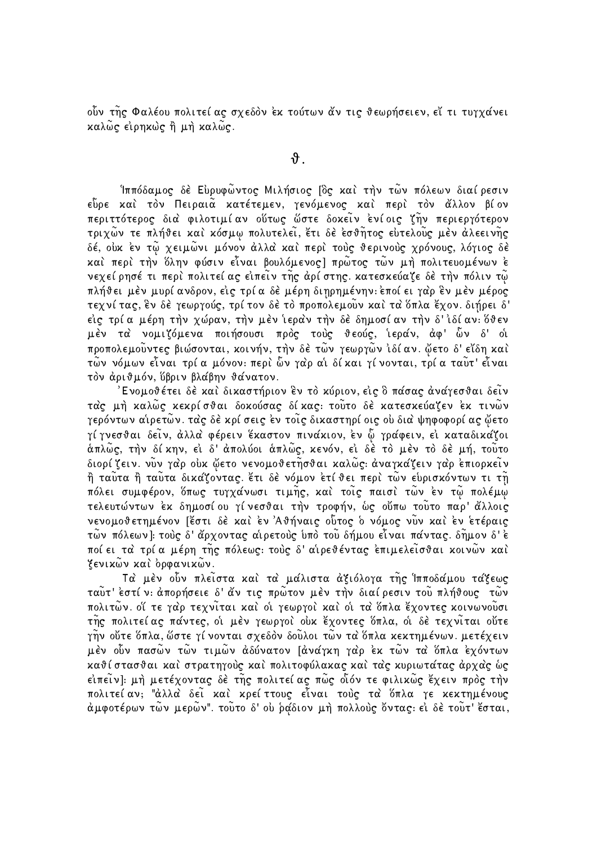οὖν τῆς Φαλέου πολιτεί ας σχεδόν έκ τούτων άν τις θεωρήσειεν, εἴ τι τυγχανει καλώς είρηκως ή μή καλώς.

Ίππόδαμος δέ Ευρυφώντος Μιλήσιος [δς και την τών πόλεων διαίρεσιν εύρε και τον Πειραια κατέτεμεν, γενόμενος και περι τον άλλον βίον περιττότερος δια φιλοτιμίαν ούτως ώστε δοκείν ενίοις ζην περιεργότερον τριχών τε πλήθει και κόσμω πολυτελεί, έτι δε εσθήτος ευτελούς μεν άλεεινής δέ, ούκ έν τω χειμώνι μόνον άλλα και περι τους θερινους χρόνους, λόγιος δε καὶ περὶ τὴν ὅλην φύσιν εἶναι βουλόμενος] πρῶτος τῶν μὴ πολιτευομένων ἐ νεχεί ρησέ τι περί πολιτεί ας είπειν της αρί στης. κατεσκεύαζε δέ την πόλιν τω πλήθει μέν μυρί ανδρον, είς τρία δέ μέρη διηρημένην: εποί ει γαρ έν μέν μέρος τεχνίτας, εν δε γεωργούς, τρίτον δε το προπολεμούν και τα όπλα έχον. διήρει δ' είς τρία μέρη την χώραν, την μεν ίεραν την δε δημοσίαν την δ'ιδίαν: δθεν μέν τα νομιζόμενα ποιήσουσι πρὸς τοὺς θεούς, ἱεραν, ἀφ' ὧν δ' οἱ προπολεμούντες βιώσονται, κοινήν, την δέ των γεωργων ιδίαν. ώετο δ' είδη και τῶν νόμων εἶναι τρία μόνον: περὶ ὧν γαρ αι δίκαι γίνονται, τρία ταῦτ' εἶναι τον αριθμόν, ύβριν βλαβην θανατον.

Ενομοθέτει δέ και δικαστήριον έν το κύριον, είς δ πάσας άναγεσθαι δείν τας μή καλώς κεκρίσθαι δοκούσας δίκας: τούτο δε κατεσκεύαζεν έκ τινών γερόντων αίρετῶν. τας δὲ κρί σεις ἐν τοις δικαστηρί οις οὐ δια ψηφοφορί ας ὤετο γίγνεσθαι δείν, άλλα φέρειν έκαστον πινάκιον, εν ὧ γράφειν, ει καταδικάζοι άπλως, την δίκην, ει δ' άπολύοι άπλως, κενόν, ει δέ το μέν το δε μή, τουτο διορίζειν. νύν γαρ ούκ ώετο νενομοθετήσθαι καλώς: άναγκάζειν γαρ επιορκείν ή ταύτα ή ταύτα δικάζοντας. έτι δε νόμον ετίθει περι των ευρισκόντων τι τη πόλει συμφέρον, δπως τυγχάνωσι τιμῆς, καὶ τοἶς παισὶ των εν τῷ πολέμῳ τελευτώντων έκ δημοσίου γίνεσθαι την τροφήν, ώς ούπω τούτο παρ' άλλοις νενομοθετημένον [έστι δε και εν Αθήναις ούτος ο νόμος νύν και εν ετέραις τῶν πόλεων]: τούς δ' ἄρχοντας αίρετούς υπό τοῦ δήμου εἶναι πάντας. δημον δ'ε ποί ει τα τρία μέρη της πόλεως: τους δ' αίρεθέντας επιμελεισθαι κοινών και ξενικών και ορφανικών.

Τα μέν ούν πλείστα και τα μαλιστα αξιόλογα της Ίπποδαμου ταξεως ταύτ' έστίν: άπορήσειε δ' άν τις πρώτον μέν την διαίρεσιν τού πλήθους τών πολιτών. οί τε γαρ τεχνῖται καὶ οί γεωργοὶ καὶ οί τα ὅπλα ἔχοντες κοινωνοῦσι της πολιτείας πάντες, οι μέν γεωργοι ούκ έχοντες δπλα, οι δέ τεχνιται ούτε γην ούτε δπλα, ώστε γί νονται σχεδον δοῦλοι τῶν τα δπλα κεκτημένων. μετέχειν μὲν οὖν πασῶν τῶν τιμῶν ἀδύνατον [ἀναγκη γαρ ἐκ τῶν τα ὅπλα ἐχόντων καθίστασθαι και στρατηγούς και πολιτοφύλακας και τας κυριωτάτας άρχας ως ειπείν]: μή μετέχοντας δε της πολιτεί ας πως οἷόν τε φιλικως έχειν προς την πολιτείαν; "άλλα δει και κρείττους είναι τους τα δπλα γε κεκτημένους άμφοτέρων τῶν μερῶν". τοῦτο δ' οὐ ῥαδιον μή πολλοὺς ὄντας: εἰ δε τοῦτ' ἔσται,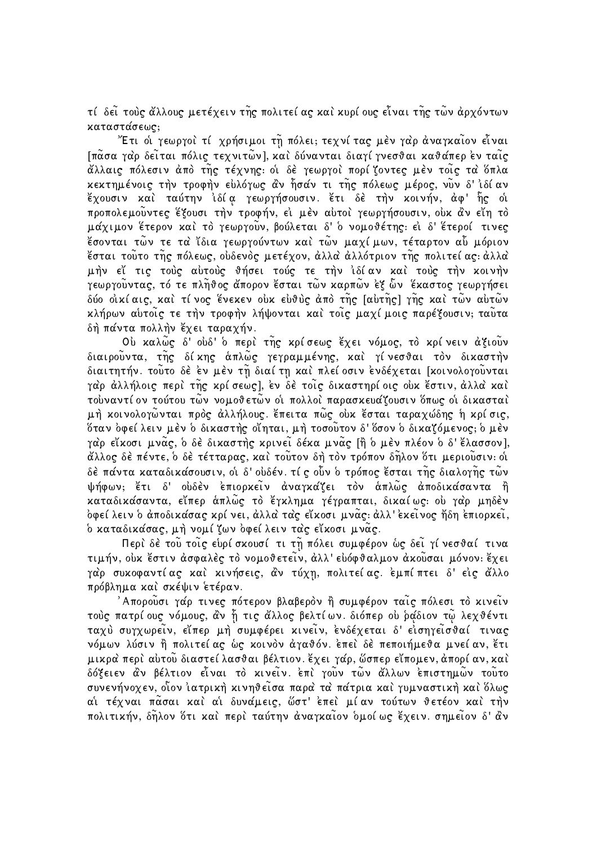τί δει τούς άλλους μετέχειν της πολιτεί ας και κυρί ους είναι της των άρχόντων καταστάσεως;

"Έτι οἱ γεωργοὶ τί χρήσιμοι τῇ πόλει; τεχνί τας μὲν γαρ ἀναγκαῖον εἶναι [πασα γαρ δείται πόλις τεχνιτων], και δύνανται διαγί γνεσθαι καθάπερ εν ταις άλλαις πόλεσιν άπό της τέχνης: οί δέ γεωργοί πορίζοντες μέν τοις τα δπλα κεκτημένοις την τροφην ευλόγως άν ήσαν τι της πόλεως μέρος, νύν δ'ιδίαν ἔχουσιν καὶ ταύτην ἰδία γεωργήσουσιν. ἔτι δὲ τὴν κοινήν, ἀφ' ἧς οἱ προπολεμούντες έξουσι την τροφήν, ει μέν αυτοί γεωργήσουσιν, ουκ άν είη το μάχιμον έτερον και το γεωργούν, βούλεται δ' ο νομοθέτης: ει δ' έτεροί τινες ζσονται τὧν τε τα` ἴδια γεωργούντων καὶ τὧν μαγί μων, τέταρτον αὗ μόριον έσται τοῦτο τῆς πόλεως, οὐδενὸς μετέχον, ἀλλα ἀλλότριον τῆς πολιτεί ας: ἀλλα μήν εί τις τούς αύτους θήσει τούς τε την ιδίαν και τους την κοινήν γεωργούντας, τό τε πλῆθος ἄπορον ἔσται τῶν καρπῶν ἐζ ὧν ἕκαστος γεωργήσει δύο σικίαις, και τίνος ένεκεν συκ ευθυς άπο της [αυτης] γης και των αυτων κλήρων αυτοίς τε την τροφην λήψονται και τοις μαχί μοις παρέξουσιν; ταυτα δή πάντα πολλήν έχει ταραγήν.

Ού καλώς δ' ούδ' ο περί της κρίσεως έχει νόμος, το κρίνειν άξιούν διαιρούντα, της δίκης άπλώς γεγραμμένης, και γίνεσθαι τον δικαστην διαιτητήν. τούτο δέ έν μέν τη διαί τη και πλεί οσιν ενδέχεται [κοινολογούνται γαρ άλλήλοις περί της κρίσεως], εν δέ τοις δικαστηρίοις ούκ έστιν, άλλα και τούναντί ον τούτου τών νομοθετών οι πολλοί παρασκευάζουσιν όπως οι δικασταί μή κοινολογώνται πρός άλλήλους. έπειτα πώς ούκ έσται ταραχώδης ή κρίσις, δταν όφεί λειν μέν δ δικαστής σίηται, μή τοσούτον δ' δσον δ δικαζόμενος; δ μέν γαρ εἴκοσι μνᾶς, ὁ δὲ δικαστής κρινεῖ δέκα μνᾶς [ἢ ὁ μὲν πλέον ὁ δ' ἔλασσον], άλλος δέ πέντε, ο δέ τέτταρας, και τούτον δη τον τρόπον δηλον ότι μεριούσιν: οί δέ πάντα καταδικάσουσιν, οί δ' ούδέν. τίς ούν ο τρόπος έσται της διαλογης των ψήφων; έτι δ' ούδεν επιορκείν αναγκάζει τον απλώς αποδικάσαντα ή καταδικάσαντα, είπερ άπλώς το έγκλημα γέγραπται, δικαίως: ού γαρ μηδέν όφεί λειν ὁ ἀποδικάσας κρί νει, ἀλλα τας εἴκοσι μνᾶς: ἀλλ' ἐκεἶνος ἤδη ἐπιορκεῖ, δ καταδικάσας, μή νομί ζων ὂφεί λειν τας εἴκοσι μνᾶς.

Περὶ δὲ τοῦ τοἶς εὑρί σκουσί τι τῆ πόλει συμφέρον ὡς δεἶ γίνεσθαί τινα τιμήν, ούκ έστιν ασφαλές το νομοθετείν, αλλ' ευόφθαλμον ακούσαι μόνον: έχει γάρ συκοφαντίας και κινήσεις, άν τύχη, πολιτείας. εμπίπτει δ' είς άλλο πρόβλημα και σκέψιν ετέραν.

<sup>,</sup>Αποροῦσι γάρ τινες πότερον βλαβερὸν ἢ συμφέρον ταῖς πόλεσι τὸ κινεῖν τούς πατρίους νόμους, άν ή τις άλλος βελτίων. διόπερ ού ράδιον τώ λεχθέντι ταχὺ συγχωρεῖν, εἴπερ μὴ συμφέρει κινεῖν, ἐνδέχεται δ' εἰσηγεῖσθαί τινας νόμων λύσιν ή πολιτεί ας ώς κοινόν άγαθόν. επεί δέ πεποιήμεθα μνεί αν, έτι μικρα περι αυτού διαστεί λασθαι βέλτιον. έχει γάρ, ὥσπερ εἴπομεν, ἀπορί αν, και δόξειεν ἂν βέλτιον εἶναι τὸ κινεἶν. ἐπὶ γοῦν τῶν ἄλλων ἐπιστημῶν τοῦτο συνενήνοχεν, οίον 'ιατρική κινηθείσα παρα τα πάτρια και γυμναστική και δλως αι τέχναι πἆσαι και αι δυνάμεις, ὥστ' επει μίαν τούτων θετέον και την πολιτικήν, δηλον ότι και περι ταύτην άναγκαιον δμοί ως έχειν. σημείον δ' άν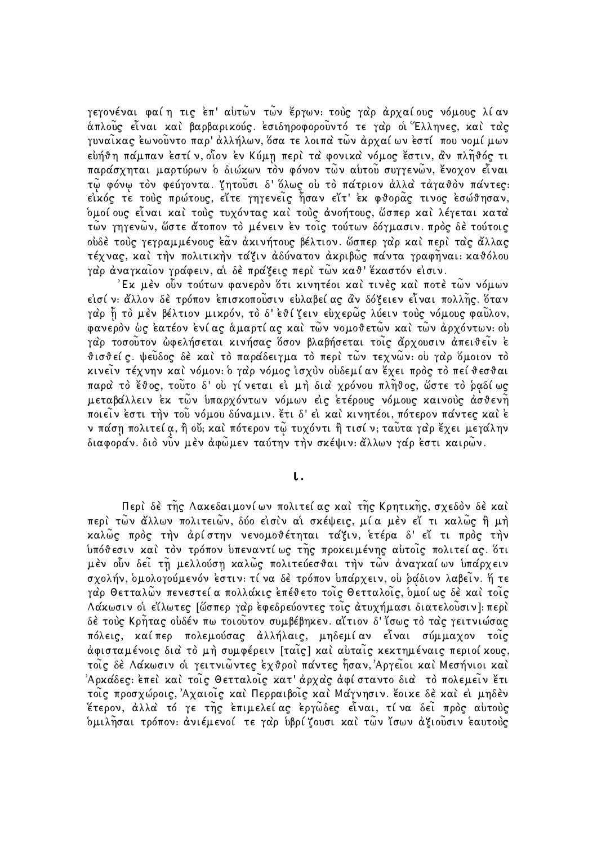γεγονέναι φαίη τις 'επ' αύτών τών έργων: τούς γαρ άρχαίους νόμους λίαν άπλούς είναι και βαρβαρικούς. εσιδηροφορούντό τε γαρ οί Έλληνες, και τας γυναϊκας έωνούντο παρ' άλλήλων, δσα τε λοιπα των άρχαί ων έστί που νομί μων ευήθη πάμπαν 'εστίν, οίον 'εν Κύμη περι τα φονικα νόμος 'έστιν, αν πληθός τι παράσχηται μαρτύρων ο διώκων τον φόνον των αυτου συγγενων, ένοχον είναι τω φόνω τον φεύγοντα. ζητούσι δ' δλως ου το πάτριον άλλα τάγαθον πάντες: είκός τε τούς πρώτους, είτε γηγενείς ήσαν είτ' έκ φθορας τινος έσώθησαν, δμοί ους εἶναι καὶ τοὺς τυχόντας καὶ τοὺς ἀνοήτους, ὥσπερ καὶ λέγεται κατὰ τῶν γηγενῶν, ὥστε ἄτοπον τὸ μένειν 'εν τοις τούτων δόγμασιν. πρὸς δὲ τούτοις ούδέ τούς γεγραμμένους έαν άκινήτους βέλτιον. ώσπερ γαρ και περι τας άλλας τέχνας, και την πολιτικην τάξιν αδύνατον ακριβώς πάντα γραφηναι: καθόλου γαρ άναγκαΐον γράφειν, αί δέ πράξεις περί τὧν καθ' έκαστόν είσιν.

'Εκ μὲν οὖν τούτων φανερὸν ὅτι κινητέοι καὶ τινὲς καὶ ποτὲ τῶν νόμων εισίν: άλλον δε τρόπον επισκοπούσιν ευλαβεί ας άν δόξειεν είναι πολλης. δταν γαρ ή το μέν βέλτιον μικρόν, το δ'εθίζειν εύχερως λύειν τούς νόμους φαύλον, φανερόν ώς 'εατέον 'ενί ας άμαρτί ας και τῶν νομοθετῶν και τῶν ἀρχόντων: οὐ γαρ τοσούτον ώφελήσεται κινήσας δσον βλαβήσεται τοις άρχουσιν απειθείν ε θισθείς. ψεΰδος δέ καὶ τὸ παράδειγμα τὸ περὶ τῶν τεχνῶν: οὐ γαρ ὅμοιον τὸ κινείν τέχνην και νόμον: ο γαρ νόμος ισχυν ουδεμίαν έχει προς το πείθεσθαι παρα το έθος, τούτο δ' ού γίνεται εί μή δια χρόνου πληθος, ώστε το ραδίως μεταβάλλειν έκ των υπαρχόντων νόμων είς ετέρους νόμους καινούς ασθενή ποιείν έστι την τού νόμου δύναμιν. έτι δ' εί και κινητέοι, πότερον πάντες και ε ν πάση πολιτεί α, ή ού; και πότερον τῷ τυχόντι ή τισί ν; ταῦτα γαρ ἔχει μεγάλην διαφοράν. διὸ νῢν μὲν ἀφῶμεν ταύτην τὴν σκέψιν: ἄλλων γάρ ἐστι καιρῶν.

ι.

Περί δε της Λακεδαιμονίων πολιτεί ας και της Κρητικης, σχεδόν δε και περὶ τῶν ἄλλων πολιτειῶν, δύο εἰσὶν αἱ σκέψεις, μία μὲν εἴ τι καλῶς ἢ μὴ καλώς πρός την άρίστην νενομοθέτηται τάζιν, ετέρα δ' εί τι πρός την υπόθεσιν και τον τρόπον υπεναντίως της προκειμένης αυτοις πολιτείας. ότι μὲν οὖν δεἶ τῇ μελλούσῃ καλῶς πολιτεύεσθαι τὴν τῶν ἀναγκαίων ὑπάρχειν σχολήν, δμολογούμενόν 'εστιν: τί να δε τρόπον υπάρχειν, ου ράδιον λαβείν. ή τε γαρ Θετταλών πενεστεί α πολλάκις επέθετο τοις Θετταλοις, δμοί ως δε και τοις Λάκωσιν οι είλωτες [ὥσπερ γαρ 'εφεδρεύοντες τοις άτυχήμασι διατελούσιν]: περι δέ τούς Κρήτας ούδέν πω τοιούτον συμβέβηκεν. αίτιον δ' ίσως το τας γειτνιώσας πόλεις, καίπερ πολεμούσας άλλήλαις, μηδεμίαν εἶναι σύμμαχον τοις άφισταμένοις δια το μη συμφέρειν [ταις] και αυταις κεκτημέναις περιοί κους, τοις δέ Λάκωσιν οι γειτνιωντες εχθροι πάντες ήσαν, Αργειοι και Μεσήνιοι και <sup>,</sup>Αρκάδες: ἐπεὶ καὶ τοῖς Θετταλοῖς κατ' ἀρχας ἀφί σταντο δια⊂ τὸ πολεμεῖν ἔτι τοις προσχώροις, Αχαιοις και Περραιβοις και Μαγνησιν. έοικε δε και εί μηδεν έτερον, άλλα τό γε της επιμελείας εργώδες είναι, τίνα δει πρός αύτους δμιλῆσαι τρόπον: ἀνιέμενοί τε γαρ ὑβρίζουσι καὶ τῶν ἴσων ἀξιοῦσιν ἑαυτοὺς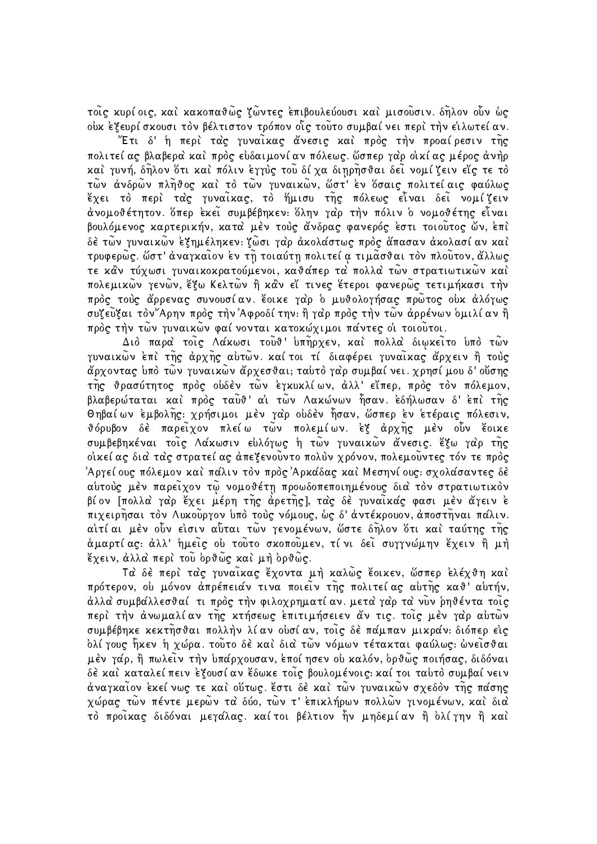τοις κυρί οις, και κακοπαθώς ζώντες επιβουλεύουσι και μισούσιν. δηλον ούν ώς ούκ εξευρί σκουσι τον βέλτιστον τρόπον οΐς τούτο συμβαί νει περι την είλωτεί αν.

"Έτι δ' ἡ περὶ τας γυναῖκας ἄνεσις καὶ πρὸς τὴν προαίρεσιν τῆς πολιτεί ας βλαβερα και προς ευδαιμονί αν πόλεως. ώσπερ γαρ οικί ας μέρος άνηρ καὶ γυνή, δῆλον ὅτι καὶ πόλιν ἐγγὺς τοῦ δί χα διηρῆσθαι δεἶ νομίζειν εἴς τε τὸ τῶν ἀνδρῶν πλῆθος καὶ τὸ τῶν γυναικῶν, ὥστ' ἐν ὅσαις πολιτεί αις φαύλως ἔχει τὸ περὶ τὰς γυναῖχας, τὸ ἥμισυ τῆς πόλεως εἶναι δεἶ νομίζειν άνομοθέτητον. Όπερ έκει συμβέβηκεν: Όλην γαρ την πόλιν ο νομοθέτης είναι βουλόμενος καρτερικήν, κατα μέν τούς άνδρας φανερός έστι τοιούτος ών, επί δέ τὧν γυναικὧν 'ε ξημέληκεν: ζὧσι γαρ άκολάστως πρός άπασαν άκολασί αν και ζ τρυφερώς. ὥστ' άναγκαίον 'εν τη τοιαύτη πολιτεί α τιμασθαι τον πλούτον, άλλως τε κάν τύχωσι γυναικοκρατούμενοι, καθάπερ τα πολλα τῶν στρατιωτικῶν καὶ πολεμικών γενών, έξω Κελτών ή κάν εί τινες έτεροι φανερώς τετιμήκασι την πρός τούς άρρενας συνουσίαν. έοικε γαρ ο μυθολογήσας πρώτος ούκ άλόγως συζεύξαι τον"Αρην προς την Αφροδί την: ή γαρ προς την τών αρρένων δμιλίαν ή πρός την τὧν γυναικὧν φαί νονται κατοκώχιμοι πάντες οι τοιοῦτοι.

Διὸ παρα τοις Λάκωσι τοῦθ' ὑπῆρχεν, καὶ πολλα διωκείτο ὑπὸ τῶν γυναικών έπι της άρχης αυτών καίτοι τί διαφέρει γυναίκας άρχειν ή τους άρχοντας υπό τῶν γυναικῶν ἄρχεσθαι; ταὐτὸ γαρ συμβαί νει. χρησί μου δ' οὔσης της θρασύτητος πρός ουδέν των εγκυκλίων, άλλ' είπερ, πρός τον πόλεμον, βλαβερώταται και προς ταύθ' αι των Λακώνων ήσαν. εδήλωσαν δ' επι της Θηβαίων εμβολής: χρήσιμοι μέν γαρ ούδεν ήσαν, ώσπερ εν ετέραις πόλεσιν, θόρυβον δε παρεῖχον πλείω τῶν πολεμίων. ἐζ ἀρχῆς μεν οὖν ἔοικε συμβεβηκέναι τοις Λάκωσιν εύλόγως ή των γυναικων άνεσις. έξω γαρ της οίκεί ας δια τας στρατεί ας άπεξενούντο πολύν χρόνον, πολεμούντες τόν τε πρός 'Αργεί ους πόλεμον καὶ πάλιν τὸν πρὸς Ἀρκάδας καὶ Μεσηνί ους: σχολάσαντες δὲ αύτούς μέν παρείχον τὦ νομοθέτη προωδοπεποιημένους δια τον στρατιωτικον βίον [πολλα γαρ έχει μέρη της άρετης], τας δε γυναικάς φασι μεν άγειν ε πιχειρήσαι τον Λυκούργον υπο τους νόμους, ως δ' άντέκρουον, άποστήναι πάλιν. αιτίαι μέν οὖν εισιν αὗται τῶν γενομένων, ὥστε δηλον ὅτι και ταύτης τῆς άμαρτίας: άλλ' ήμεις ού τούτο σκοπούμεν, τίνι δει συγγνώμην έχειν ή μή έχειν, άλλα περί τοῦ ὀρθῶς καὶ μὴ ὀρθῶς.

Τα δέ περί τας γυναίκας έχοντα μή καλώς έοικεν, ώσπερ ελέχθη καί πρότερον, ού μόνον απρέπειαν τινα ποιείν της πολιτεί ας αυτης καθ' αυτήν, άλλα συμβάλλεσθαί τι πρός την φιλοχρηματίαν. μετα γαρ τα νύν ρηθέντα τοίς περὶ την άνωμαλίαν της κτήσεως επιτιμήσειεν άν τις. τοις μεν γαρ αυτών συμβέβηκε κεκτησθαι πολλην λίαν ούσίαν, τοις δε πάμπαν μικράν: διόπερ είς ολί γους ἧκεν ἡ χώρα, τοῦτο δὲ καὶ δια τῶν νόμων τέτακται φαύλως: ὡνεῖσθαι μέν γάρ, ἢ πωλείν την υπάρχουσαν, εποί ησεν ου καλόν, ορθως ποιήσας, διδόναι δέ και καταλεί πειν εξουσίαν έδωκε τοις βουλομένοις: καί τοι ταυτό συμβαί νειν άναγκαιον έκεί νως τε και ούτως. έστι δε και των γυναικων σχεδον της πάσης χώρας τῶν πέντε μερῶν τὰ δύο, τῶν τ' ἐπικλήρων πολλῶν γινομένων, καὶ διὰ τὸ προἶκας διδόναι μεγάλας. καίτοι βέλτιον ἦν μηδεμίαν ἢ ὀλίγην ή καὶ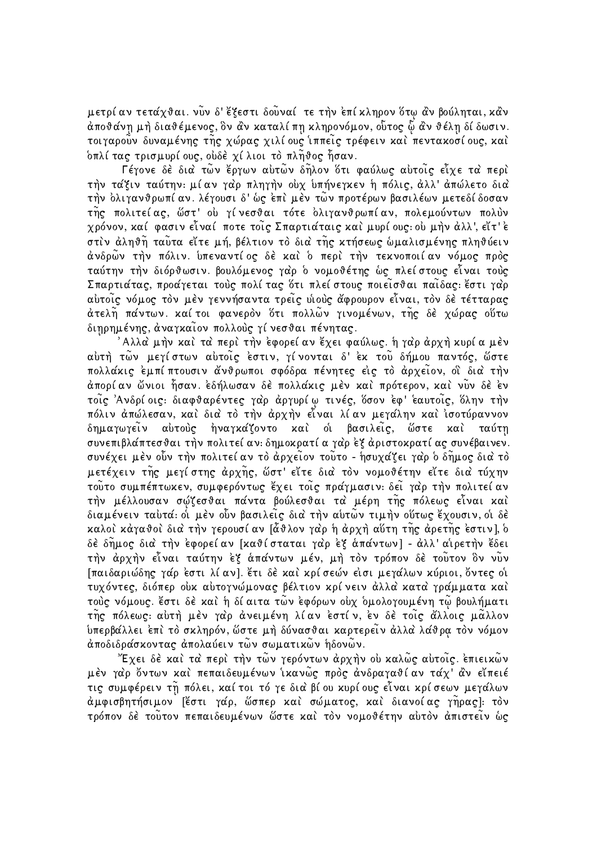μετρίαν τετάχθαι. νὖν δ' έξεστι δοὖναί τε την επίκληρον δτω ἀν βούληται, κἀν άποθάνη μὴ διαθέμενος, ὃν ἀν καταλί πη κληρονόμον, οὗτος ὧ ἀν θέλη δί δωσιν. τοιγαρούν δυναμένης της χώρας χιλί ους ιππείς τρέφειν και πεντακοσί ους, και δπλίτας τρισμυρίους, ούδε χίλιοι το πληθος ήσαν.

Γέγονε δε δια τῶν ἔργων αὐτῶν δῆλον ὅτι φαύλως αὐτοῖς εἶχε τα περὶ τήν τάζιν ταύτην: μίαν γαρ πληγήν ούχ υπήνεγκεν ή πόλις, άλλ' απώλετο δια την ολιγανθρωπί αν. λέγουσι δ' ώς επι μεν των προτέρων βασιλέων μετεδί δοσαν της πολιτείας, ώστ' ού γίνεσθαι τότε ολιγανθρωπίαν, πολεμούντων πολύν γρόνον, καί φασιν είναί ποτε τοις Σπαρτιάταις και μυρίους: ου μην άλλ', είτ'ε στιν άληθη ταύτα είτε μή, βέλτιον το δια της κτήσεως ώμαλισμένης πληθύειν άνδρων την πόλιν. υπεναντίος δέ και ο περι την τεκνοποιίαν νόμος προς ταύτην την διόρθωσιν. βουλόμενος γαρ ο νομοθέτης ως πλείστους είναι τους Σπαρτιάτας, προάγεται τούς πολί τας δτι πλεί στους ποιείσθαι παιδας: έστι γαρ αύτοις νόμος τον μέν γεννήσαντα τρείς υίους άφρουρον είναι, τον δέ τέτταρας άτελῆ πάντων. καίτοι φανερὸν ὅτι πολλῶν γινομένων, τῆς δὲ χώρας οὕτω διηρημένης, άναγκαίον πολλούς γίνεσθαι πένητας.

'Αλλα` μὴν καὶ τα` περὶ τὴν ἐφορεί αν ἔχει φαύλως, ἡ γαρ ἀρχὴ κυρί α μὲν αύτη των μεγίστων αύτοις έστιν, γίνονται δ' έκ του δήμου παντός, ώστε πολλάκις εμπί πτουσιν άνθρωποι σφόδρα πένητες εις το άρχειον, οι δια την άπορίαν ὤνιοι ἦσαν. 'εδήλωσαν δέ πολλάχις μέν χαὶ πρότερον, χαὶ νῦν δὲ 'εν τοις Άνδρί οις: διαφθαρέντες γαρ άργυρίω τινές, όσον 'εφ' εαυτοις, όλην την πόλιν άπώλεσαν, καὶ διὰ τὸ τὴν ἀρχὴν εἶναι λίαν μεγάλην καὶ Ἰσοτύραννον δημαγωγείν αύτούς ήναγκάζοντο καί οί βασιλείς, ὥστε καί ταύτη συνεπιβλάπτεσθαι την πολιτεί αν: δημοκρατί α γαρ εξ άριστοκρατί ας συνέβαινεν. συνέχει μέν οὖν την πολιτεί αν τὸ ἀρχεῖον τοῦτο - ἡσυχαζει γαρ ὁ δῆμος δια τὸ μετέχειν της μεγίστης άρχης, ώστ' είτε δια τον νομοθέτην είτε δια τύχην τούτο συμπέπτωκεν, συμφερόντως έχει τοις πράγμασιν: δει γαρ την πολιτεί αν τήν μέλλουσαν σώζεσθαι πάντα βούλεσθαι τα μέρη της πόλεως εἶναι καὶ διαμένειν ταύτα: οί μέν ούν βασιλείς δια την αυτών τιμην ούτως έχουσιν, οί δέ καλοί κάγαθοί δια την γερουσί αν [ἆθλον γαρ ή άρχη αύτη της άρετης 'εστιν], δ δέ δημος δια την εφορείαν [καθίσταται γαρ εξ άπαντων] - άλλ' αίρετην έδει τὴν ἀρχὴν εἶναι ταύτην ἐξ ἁπάντων μέν, μὴ τὸν τρόπον δὲ τοῦτον ὃν νῦν [παιδαριώδης γάρ 'εστι λίαν]. έτι δε και κρίσεών εισι μεγάλων κύριοι, όντες οι τυχόντες, διόπερ ούκ αύτογνώμονας βέλτιον κρίνειν άλλα κατα γράμματα και τούς νόμους. έστι δέ και ή δίαιτα τῶν εφόρων οὐχ δμολογουμένη τῶ βουλήματι της πόλεως: αύτη μέν γαρ άνειμένη λίαν έστίν, έν δε τοις άλλοις μαλλον υπερβάλλει 'επὶ τὸ σκληρόν, ὥστε μὴ δύνασθαι καρτερεἶν ἀλλα λάθρα τὸν νόμον άποδιδράσκοντας άπολαύειν τῶν σωματικῶν ἡδονῶν.

<sup>»</sup>Έχει δὲ καὶ τὰ περὶ τὴν τῶν γερόντων ἀρχὴν οὐ καλῶς αὐτοῖς. ἐπιεικῶν μέν γαρ ὄντων και πεπαιδευμένων ίκανως προς ανδραγαθίαν τάχ' αν είπειέ τις συμφέρειν τη πόλει, καί τοι τό γε δια βί ου κυρί ους είναι κρί σεων μεγάλων άμφισβητήσιμον [έστι γάρ, ὥσπερ και σώματος, και διανοίας γηρας]: τον τρόπον δέ τούτον πεπαιδευμένων ώστε και τον νομοθέτην αυτον απιστείν ως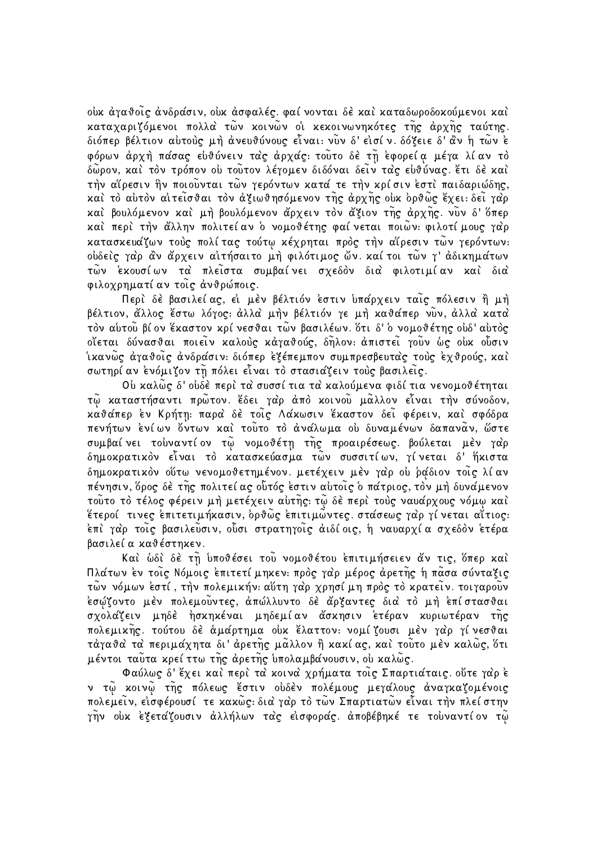ούκ άγαθοις άνδρασιν, ούκ άσφαλές. φαί νονται δὲ καὶ καταδωροδοκούμενοι καὶ καταγαριζόμενοι πολλα τών κοινών οί κεκοινωνηκότες της αργης ταύτης. διόπερ βέλτιον αύτους μη άνευθύνους είναι: νύν δ' είσίν. δόξειε δ' άν η τών έ φόρων άρχη πάσας ευθύνειν τας άρχας: τούτο δε τη εφορεία μέγα λίαν το δώρον, και τον τρόπον ου τούτον λέγομεν διδόναι δείν τας ευθύνας. έτι δε και τήν αίρεσιν ήν ποιούνται τών γερόντων κατά τε τήν κρίσιν έστι παιδαριώδης, καὶ τὸ αὐτὸν αἰτεἶσθαι τὸν ἀξιωθησόμενον τῆς ἀρχῆς οὐκ ὀρθῶς ἔχει:δεἶ γαρ καὶ βουλόμενον καὶ μὴ βουλόμενον ἄρχειν τὸν ἄξιον τῆς ἀρχῆς. νῦν δ' ὅπερ καί περί την άλλην πολιτείαν ο νομοθέτης φαίνεται ποιών: φιλοτίμους γαρ κατασκευάζων τούς πολίτας τούτω κέχρηται πρός την αίρεσιν των γερόντων: ούδεὶς γαρ ἀν ἄρχειν αιτήσαιτο μη φιλότιμος ὤν. καί τοι τῶν γ' ἀδικημάτων τὦν εκουσίων τα πλείστα συμβαίνει σχεδον δια φιλοτιμίαν και δια φιλογρηματί αν τοις άνθρώποις.

Περὶ δὲ βασιλείας, ει μεν βέλτιόν εστιν υπαρχειν ταις πόλεσιν ἢ μη βέλτιον, άλλος έστω λόγος: άλλα μην βέλτιόν γε μη καθάπερ νύν, άλλα κατα τον αυτού βίον έκαστον κρί νεσθαι των βασιλέων. δτι δ' ο νομοθέτης ουδ' αυτος οἴεται δύνασθαι ποιεἶν καλούς κάγαθούς, δηλον: ἀπιστεἶ γοῦν ὡς οὐκ οὖσιν ίκανώς άγαθοΐς άνδράσιν: διόπερ εξέπεμπον συμπρεσβευτας τούς εχθρούς, και σωτηρί αν 'ενόμιζον τη πόλει είναι το στασιάζειν τούς βασιλείς.

Ού καλώς δ' ούδέ περί τα συσσί τια τα καλούμενα φιδί τια νενομοθέτηται τῷ καταστήσαντι πρῶτον. ἔδει γαρ ἀπὸ κοινοῦ μᾶλλον εἶναι τὴν σύνοδον, καθάπερ έν Κρήτη: παρα δέ τοις Λάκωσιν έκαστον δει φέρειν, και σφόδρα πενήτων ένίων ὄντων καὶ τοῦτο τὸ ἀναλωμα οὐ δυναμένων δαπανᾶν, ὥστε συμβαίνει τούναντίον τῷ νομοθέτη τῆς προαιρέσεως. βούλεται μεν γαρ δημοκρατικόν είναι το κατασκεύασμα των συσσιτίων, γίνεται δ' ήκιστα δημοκρατικόν ούτω νενομοθετημένον. μετέχειν μέν γαρ ού ράδιον τοις λίαν πένησιν, όρος δέ της πολιτεί ας ούτός έστιν αύτοις ο πάτριος, τον μη δυνάμενον τούτο το τέλος φέρειν μή μετέχειν αύτης: τώ δε περί τούς ναυάρχους νόμω και έτεροί τινες επιτετιμήκασιν, ορθώς επιτιμώντες στάσεως γαρ γίνεται αίτιος: ἐπὶ γαρ τοἶς βασιλεὖσιν, οὖσι στρατηγοἶς ἀιδί οις, ἡ ναυαρχία σχεδὸν ἑτέρα βασιλεί α καθέστηκεν.

Και ωδι δε τη υποθέσει του νομοθέτου επιτιμήσειεν άν τις, όπερ και Πλάτων έν τοις Νόμοις επιτετί μηκεν: πρός γαρ μέρος άρετης η πασα σύνταξις τῶν νόμων 'εστί, την πολεμικήν: αὕτη γαρ χρησί μη πρὸς τὸ κρατεἶν. τοιγαροῦν έσώζοντο μέν πολεμοὖντες, ἀπώλλυντο δὲ ἄρξαντες δια τὸ μὴ ἐπίστασθαι σχολάζειν μηδέ ήσκηκέναι μηδεμίαν άσκησιν ετέραν κυριωτέραν της πολεμικής. τούτου δέ άμαρτημα ούκ έλαττον: νομίζουσι μέν γαρ γίνεσθαι τάγαθα τα περιμάχητα δι' άρετης μαλλον ή κακί ας, και τουτο μεν καλώς, ότι μέντοι ταύτα κρεί ττω της άρετης υπολαμβάνουσιν, ου καλώς.

Φαύλως δ' έχει και περι τα κοινα χρήματα τοις Σπαρτιάταις. ούτε γαρ ε ν τῷ κοινῷ τῆς πόλεως ἔστιν οὐδεν πολέμους μεγάλους ἀναγκαζομένοις πολεμείν, εισφέρουσί τε κακώς: δια γαρ το των Σπαρτιατων είναι την πλείστην γην ούκ εξετάζουσιν άλλήλων τας εισφοράς αποβέβηκέ τε τουναντίον τώ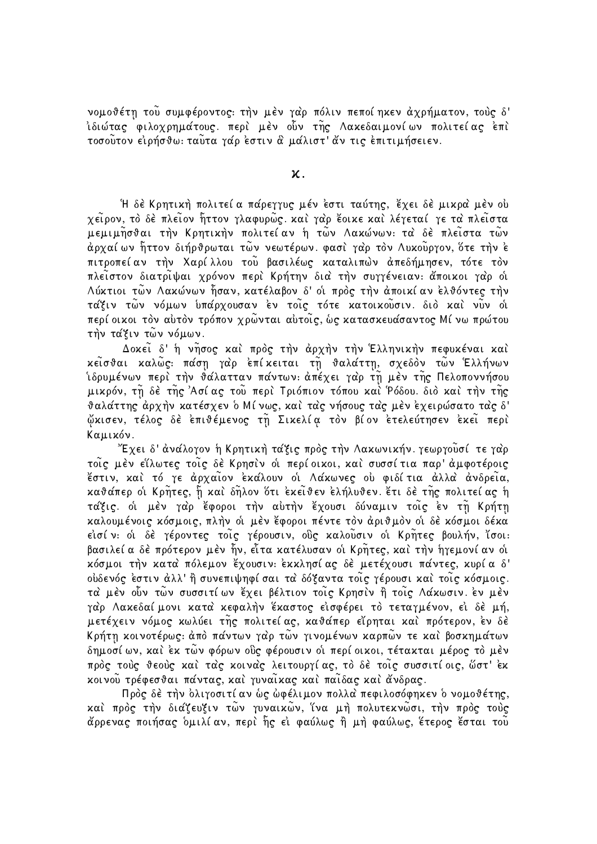νομοθέτη τού συμφέροντος: την μέν γαρ πόλιν πεποί ηκεν άχρήματον, τούς δ' ιδιώτας φιλοχρημάτους. περί μέν ούν της Λακεδαιμονίων πολιτείας επί τοσούτον ειρήσθω: ταύτα γάρ έστιν α μάλιστ' άν τις επιτιμήσειεν.

 $\boldsymbol{\varkappa}$  .

Ή δέ Κρητική πολιτεί α πάρεγγυς μέν έστι ταύτης, έχει δέ μικρα μέν ού γείρον, τὸ δὲ πλεῖον ἧττον γλαφυρῶς, καὶ γαρ ἔοικε καὶ λέγεταί γε τα πλεῖστα μεμιμήσθαι την Κρητικην πολιτείαν η των Λακώνων: τα δέ πλειστα των άρχαί ων ἧττον διήρθρωται τῶν νεωτέρων. φασὶ γαρ τον Λυκοῦργον, ὅτε τὴν ε πιτροπείαν την Χαρίλλου τού βασιλέως καταλιπων άπεδήμησεν, τότε τον πλείστον διατρίψαι χρόνον περί Κρήτην δια την συγγένειαν: άποικοι γαρ οί Λύκτιοι των Λακώνων ἦσαν, κατέλαβον δ' οί προς την αποικί αν ελθόντες την τάζιν τὦν νόμων υπάρχουσαν έν τοις τότε κατοικούσιν. διο και νύν οί περί οικοι τον αύτον τρόπον χρώνται αύτοις, ώς κατασκευάσαντος Μίνω πρώτου την τάξιν των νόμων.

Δοκεῖ δ' ἡ νῆσος καὶ πρὸς τὴν ἀρχὴν τὴν Ἑλληνικὴν πεφυκέναι καὶ κείσθαι καλώς: πάση γαρ επίκειται τη θαλάττη, σχεδόν τών Έλλήνων ιδρυμένων περί την θάλατταν πάντων: άπέχει γαρ τη μέν της Πελοποννήσου μικρόν, τη δέ της Άσίας του περί Τριόπιον τόπου καί Ρόδου. διό και την της θαλάττης άρχην κατέσχεν ο Μίνως, και τας νήσους τας μεν εχειρώσατο τας δ' ὤκισεν, τέλος δὲ ἐπιθέμενος τῆ Σικελία τὸν βίον ἐτελεύτησεν ἐκεἶ περὶ Καμικόν.

"Έχει δ' ἀναλογον ἡ Κρητικὴ ταξις πρὸς τὴν Λακωνικήν. γεωργοῦσί τε γαρ τοις μέν είλωτες τοις δέ Κρησιν οι περίοικοι, και συσσίτια παρ' άμφοτέροις έστιν, καὶ τό γε ἀρχαῖον ἐκαλουν οἱ Λακωνες οὐ φιδίτια ἀλλα ἀνδρεῖα, καθάπερ οι Κρητες, η και δηλον ότι εκείθεν ελήλυθεν. έτι δε της πολιτεί ας η τάξις. οι μέν γαρ έφοροι την αυτήν έχουσι δύναμιν τοις έν τη Κρήτη καλουμένοις κόσμοις, πλήν οι μέν έφοροι πέντε τον αριθμον οι δε κόσμοι δέκα εισίν: οι δέ γέροντες τοις γέρουσιν, ούς καλούσιν οι Κρητες βουλήν, ίσοι: βασιλεί α δέ πρότερον μέν ἦν, εἶτα κατέλυσαν οἱ Κρη̃τες, καὶ την ἡγεμονί αν οἱ κόσμοι την κατα πόλεμον έχουσιν: εκκλησίας δε μετέχουσι πάντες, κυρία δ' ούδενός έστιν άλλ' ή συνεπιψηφί σαι τα δόξαντα τοις γέρουσι και τοις κόσμοις. τα μέν οὖν τῶν συσσιτί ων ἔχει βέλτιον τοῖς Κρησιν ἢ τοῖς Λάκωσιν. ἐν μεν γαρ Λακεδαί μονι κατα κεφαλήν έκαστος εισφέρει το τεταγμένον, ει δε μή, μετέχειν νόμος κωλύει της πολιτείας, καθάπερ είρηται και πρότερον, έν δέ Κρήτη κοινοτέρως: άπὸ πάντων γαρ τῶν γινομένων καρπῶν τε καὶ βοσκημάτων δημοσίων, και έκ τών φόρων οΰς φέρουσιν οι περί οικοι, τέτακται μέρος το μεν πρός τούς θεούς και τας κοινας λειτουργίας, το δε τοις συσσιτίοις, ώστ' έκ κοινού τρέφεσθαι πάντας, και γυναίκας και παίδας και άνδρας.

Πρός δε την ολιγοσιτί αν ώς ώφέλιμον πολλα πεφιλοσόφηκεν ο νομοθέτης, καί πρός την διάζευζιν τών γυναικών, ίνα μη πολυτεκνώσι, την πρός τούς άρρενας ποιήσας δμιλίαν, περὶ ἧς εἰ φαύλως ἢ μὴ φαύλως, ἕτερος ἔσται τοῦ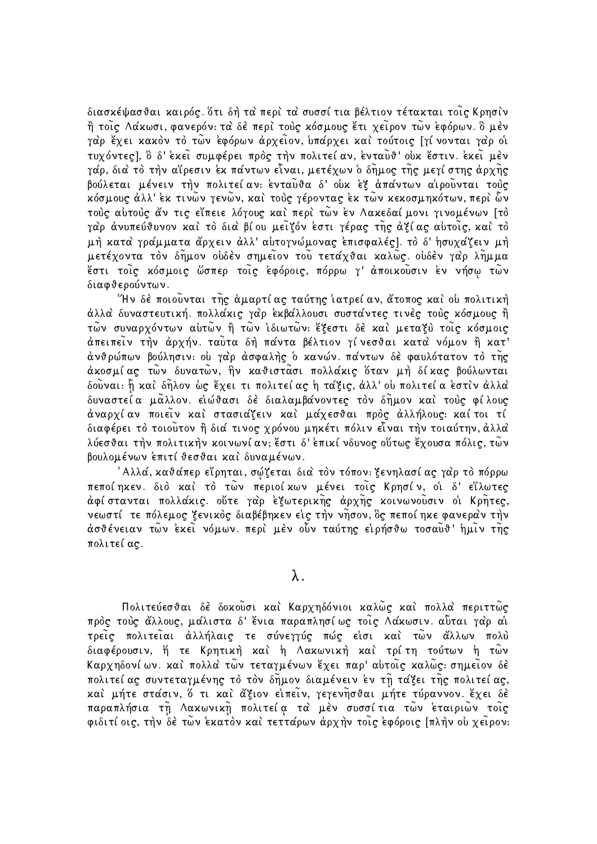διασκέψασθαι καιρός. ότι δή τα περί τα συσσί τια βέλτιον τέτακται τοις Κρησίν ή τοις Λάκωσι, φανερόν: τα δέ περί τούς κόσμους έτι χειρον των εφόρων. δ μέν γαρ έχει κακόν το τῶν ἐφόρων ἀρχεῖον, ὑπάρχει καὶ τούτοις [γί νονται γαρ οί τυχόντες], δ δ'εκεί συμφέρει πρός την πολιτεί αν, ενταύθ' ούκ έστιν. εκεί μεν γάρ, δια το την αίρεσιν 'εκ πάντων εἶναι, μετέχων ο δῆμος τῆς μεγί στης ἀρχῆς βούλεται μένειν την πολιτεί αν: ενταύθα δ' ούκ εξ απάντων αίρούνται τούς κόσμους άλλ' έκ τινῶν γενῶν, καὶ τοὺς γέροντας ἐκ τῶν κεκοσμηκότων, περὶ ὧν τούς αύτούς άν τις είπειε λόγους και περι των εν Λακεδαί μονι γινομένων [το γαρ ανυπεύθυνον και το δια βίου μειζόν εστι γέρας της αξίας αυτοις, και το μή κατα γράμματα άρχειν άλλ' αυτογνώμονας επισφαλές]. το δ' ησυχαζειν μή μετέχοντα τον δημον ούδεν σημείον του τετάχθαι καλώς ούδεν γαρ λημμα ,<br>**ἔστι τοῖς κόσμοις ὥσπερ τοῖς ἐφόροις, πό**ρρω γ' ἀποικοῦσιν ἐν νήσω τῶν διαφθερούντων.

Ήν δὲ ποιοῦνται τῆς ἁμαρτίας ταύτης ἰατρείαν, ἄτοπος καὶ οὐ πολιτικὴ άλλα δυναστευτική. πολλάκις γαρ εκβάλλουσι συστάντες τινές τούς κόσμους ή τῶν συναρχόντων αὐτῶν ἢ τῶν ιδιωτῶν: «ξεστι δε και μεταξυ τοις κόσμοις άπειπείν την άρχήν. ταῦτα δη πάντα βέλτιον γίνεσθαι κατα νόμον ἢ κατ' άνθρώπων βούλησιν: ού γαρ άσφαλής ο κανών. πάντων δέ φαυλότατον το της άκοσμίας τῶν δυνατῶν, ἣν καθιστᾶσι πολλάκις ὅταν μὴ δίκας βούλωνται δούναι: ή και δήλον ώς έχει τι πολιτείας ή τάζις, άλλ' ου πολιτεία εστιν άλλα δυναστεία μαλλον. ειώθασι δε διαλαμβάνοντες τον δήμον και τους φίλους άναρχίαν ποιείν και στασιάζειν και μάχεσθαι προς άλλήλους: καίτοι τί διαφέρει τὸ τοιοῦτον ἢ διά τινος χρόνου μηκέτι πόλιν εἶναι την τοιαύτην, ἀλλα λύεσθαι την πολιτικην κοινωνίαν; έστι δ'επικί νδυνος ούτως έχουσα πόλις, των βουλομένων επιτί θεσθαι και δυναμένων.

'Αλλά, καθάπερ εἴρηται, σώζεται δια τον τόπον: ξενηλασί ας γαρ το πόρρω πεποίηκεν. διὸ καὶ τὸ των περιοίκων μένει τοις Κρησίν, οι δ' είλωτες άφίστανται πολλάκις. ούτε γαρ εξωτερικης αρχης κοινωνούσιν οι Κρητες, νεωστί τε πόλεμος ζενικός διαβέβηκεν είς την νησον, δς πεποίηκε φανεραν την άσθένειαν τῶν ἐκεἶ νόμων. περὶ μὲν οὖν ταύτης εἰρήσθω τοσαῦθ' ἡμἶν τῆς πολιτεί ας.

### $\lambda$ .

Πολιτεύεσθαι δέ δοκούσι και Καρχηδόνιοι καλώς και πολλα περιττώς πρός τούς άλλους, μαλιστα δ' ένια παραπλησίως τοις Λακωσιν. αύται γαρ αί τρείς πολιτείαι άλλήλαις τε σύνεγγύς πώς είσι και τών άλλων πολύ διαφέρουσιν, ή τε Κρητική και ή Λακωνική και τρίτη τούτων ή των Καρχηδονίων. και πολλα των τεταγμένων έχει παρ' αυτοίς καλως: σημείον δε πολιτεί ας συντεταγμένης το τον δήμον διαμένειν εν τη τάξει της πολιτεί ας, καὶ μήτε στάσιν, ὅ τι καὶ ἄξιον εἰπεἶν, γεγενῆσθαι μήτε τύραννον. ἔχει δέ παραπλήσια τη Λακωνικη πολιτεία τα μέν συσσίτια των έταιριων τοις φιδιτί οις, την δέ τῶν εκατὸν και τεττάρων ἀρχην τοις εφόροις [πλην ου χειρον: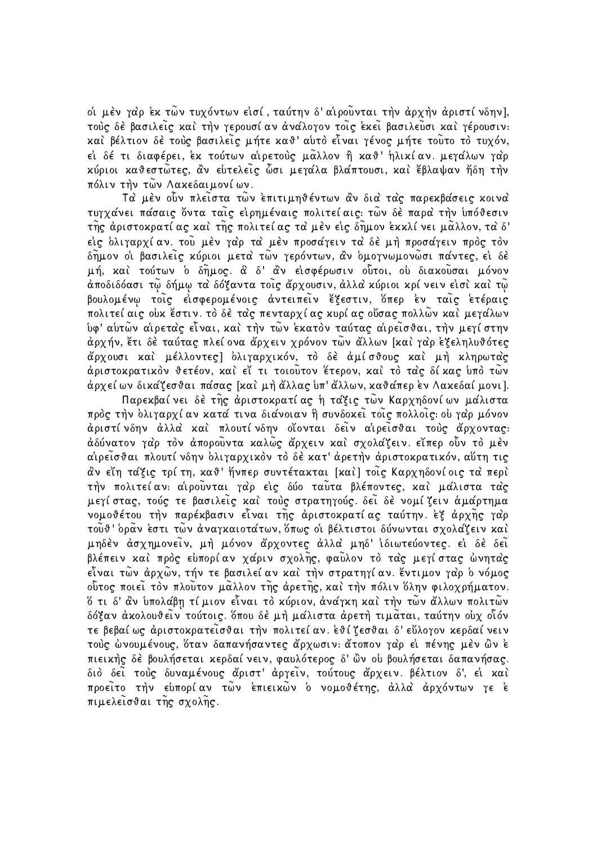οί μέν γαρ έκ τῶν τυχόντων εισί, ταύτην δ' αίροῦνται την άρχην άριστί νδην], τούς δέ βασιλείς και την γερουσίαν άναλογον τοις εκει βασιλεύσι και γέρουσιν: καί βέλτιον δέ τούς βασιλείς μήτε καθ' αύτο είναι γένος μήτε τούτο το τυχόν, ει δέ τι διαφέρει, εκ τούτων αίρετούς μαλλον ή καθ' ήλικίαν. μεγάλων γαρ κύριοι καθεστώτες, ἂν εὐτελεἶς ὦσι μεγάλα βλάπτουσι, καὶ ἔβλαψαν ἤδη τὴν πόλιν την τὦν Λακεδαιμονίων.

Τα μέν ούν πλεϊστα τῶν ἐπιτιμηθέντων ἀν δια τας παρεκβάσεις κοινα τυγχανει πασαις όντα ταις ειρημέναις πολιτεί αις: των δέ παρα την υπόθεσιν της άριστοκρατί ας και της πολιτεί ας τα μεν εις δημον εκκλί νει μάλλον, τα δ' είς ολιγαρχίαν. του μέν γαρ τα μέν προσάγειν τα δέ μή προσάγειν πρός τον δημον οί βασιλείς κύριοι μετα τῶν γερόντων, ἀν ὁμογνωμονῶσι πάντες, εἰ δὲ μή, και τούτων ο δημος. α δ' άν εισφέρωσιν ούτοι, ου διακούσαι μόνον άποδιδόασι τῷ δήμῳ τα δόξαντα τοις ἄρχουσιν, άλλα κύριοι κρί νειν εἰσὶ καὶ τῷ βουλομένω τοις εισφερομένοις αντειπείν έξεστιν, όπερ εν ταις ετέραις πολιτεί αις ούκ έστιν. το δε τας πενταρχί ας κυρί ας ούσας πολλών και μεγάλων ύφ' αυτῶν αιρετας εἶναι, και την τῶν εκατον ταύτας αιρεἶσθαι, την μεγί στην άρχήν, έτι δέ ταύτας πλεί ονα άρχειν χρόνον τὧν άλλων [καὶ γαρ ἐξεληλυθότες άρχουσι και μέλλοντες ολιγαρχικόν, το δε αμίσθους και μη κληρωτας άριστοκρατικόν θετέον, και εί τι τοιούτον έτερον, και το τας δίκας υπο των άρχεί ων δικάζεσθαι πάσας [καὶ μὴ ἄλλας ὑπ' ἄλλων, καθάπερ ἐν Λακεδαί μονι].

Παρεκβαίνει δε της αριστοκρατίας η ταξις των Καρχηδονίων μαλιστα πρός την όλιγαρχίαν κατά τινα διάνοιαν ή συνδοκεί τοις πολλοις: ού γαρ μόνον άριστίνδην άλλα και πλουτίνδην οἴονται δείν αίρεισθαι τους άρχοντας: άδύνατον γαρ τον άποροῦντα καλῶς ἄρχειν καὶ σχολάζειν. εἴπερ οὖν το μεν αίρείσθαι πλουτί νδην ολιγαρχικόν το δέ κατ' άρετην αριστοκρατικόν, αύτη τις άν εἴη τάξις τρί τη, καθ' ἥνπερ συντέτακται [καὶ] τοις Καρχηδονί οις τα περὶ τήν πολιτείαν: αίρούνται γαρ είς δύο ταύτα βλέποντες, και μαλιστα τας μεγί στας, τούς τε βασιλείς και τους στρατηγούς δεί δε νομίζειν άμαρτημα νομοθέτου την παρέκβασιν είναι της αριστοκρατίας ταύτην. εξ αρχης γαρ τούθ' δραν έστι των άναγκαιοτάτων, δπως οι βέλτιστοι δύνωνται σχολάζειν και μηδέν άσχημονείν, μή μόνον άρχοντες άλλα μηδ' ιδιωτεύοντες. ει δέ δεί βλέπειν και προς ευπορίαν χάριν σχολης, φαύλον το τας μεγίστας ώνητας εἶναι τῶν ἀρχῶν, τήν τε βασιλεί αν καὶ τὴν στρατηγί αν. ἔντιμον γαρ ὁ νόμος οὗτος ποιεἶ τὸν πλοῦτον μᾶλλον τῆς ἀρετῆς, καὶ τὴν πόλιν ὅλην φιλοχρήματον. ő τι δ' ἂν ὑπολάβη τί μιον εἶναι τὸ κύριον, ἀνάγκη καὶ τὴν τῶν ἄλλων πολιτῶν δόζαν άκολουθείν τούτοις. δπου δε μη μαλιστα άρετη τιμαται, ταύτην ούχ οίόν τε βεβαί ως άριστοκρατείσθαι την πολιτεί αν. εθί ζεσθαι δ' εύλογον κερδαί νειν τούς ώνουμένους, όταν δαπανήσαντες άρχωσιν: άτοπον γαρ εί πένης μέν ών ε πιεικής δέ βουλήσεται κερδαί νειν, φαυλότερος δ' ὢν ού βουλήσεται δαπανήσας. διό δει τούς δυναμένους άριστ' άργειν, τούτους άρχειν. βέλτιον δ', εί και προείτο την εύπορίαν των επιεικών ο νομοθέτης, άλλα άρχόντων γε ε πιμελείσθαι της σχολης.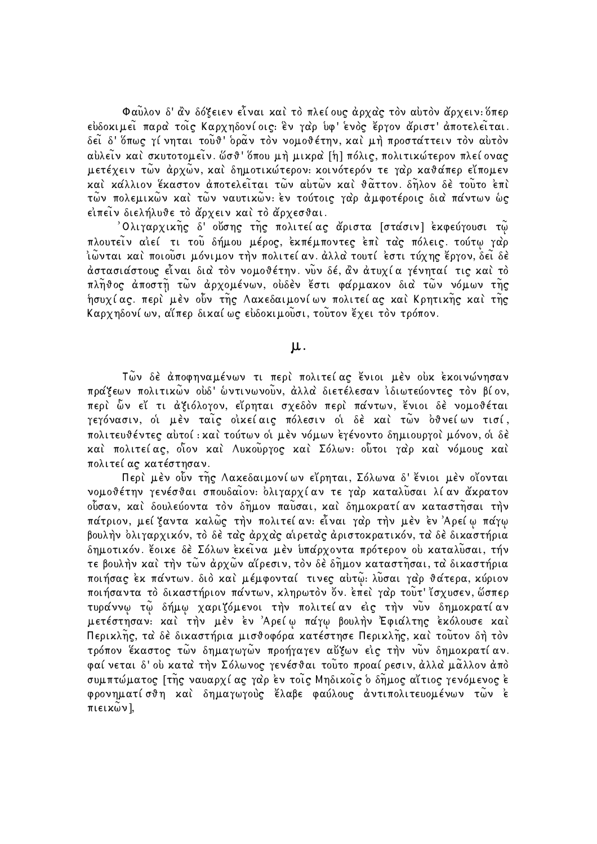Φαύλον δ' άν δόξειεν είναι και το πλεί ους άρχας τον αυτον άρχειν: Όπερ εύδοκιμεί παρα τοις Καρχηδονίοις: εν γαρ ύφ' ενός έργον άριστ' αποτελείται. δει δ' όπως γίνηται τουθ' δράν τον νομοθέτην, και μή προστάττειν τον αυτον αύλείν και σκυτοτομείν. ώσθ' όπου μη μικρα [ή] πόλις, πολιτικώτερον πλεί ονας μετέχειν τῶν ἀρχῶν, καὶ δημοτικώτερον: κοινότερόν τε γαρ καθάπερ εἴπομεν καὶ κάλλιον ἕκαστον ἀποτελεῖται τῶν αὐτῶν καὶ θᾶττον. δῆλον δὲ τοῦτο ἐπὶ τῶν πολεμικῶν καὶ τῶν ναυτικῶν: ἐν τούτοις γαρ ἀμφοτέροις δια πάντων ως ειπείν διελήλυθε το άρχειν και το άρχεσθαι.

'Ολιγαρχικής δ' ούσης της πολιτείας άριστα [στάσιν] εκφεύγουσι τώ πλουτείν αιεί τι του δήμου μέρος, εκπέμποντες επι τας πόλεις τούτω γαρ ,<br>ιὦνται καὶ ποιοὖσι μόνιμον τὴν πολιτεί αν. ἀλλὰ τουτί ἐστι τύχης ἔργον, δεῖ δὲ άστασιάστους είναι δια τον νομοθέτην. νύν δέ, άν άτυχία γένηταί τις και το πλη̃θος αποστη τῶν αρχομένων, οὐδεν ἔστι φαρμακον δια τῶν νόμων της ήσυχίας περί μέν ούν της Λακεδαιμονίων πολιτείας και Κρητικης και της Καργηδονί ων, αΐπερ δικαί ως εὐδοκιμοῦσι, τοῦτον ἔγει τὸν τρόπον.

**µ.** 

Τών δε άποφηναμένων τι περί πολιτείας ένιοι μεν ούκ εκοινώνησαν πράξεων πολιτικών ούδ' ώντινωνούν, άλλα διετέλεσαν ιδιωτεύοντες τον βίον, περί ὧν εζ τι άζιόλογον, εζρηται σχεδόν περί παντων, ένιοι δέ νομοθέται γεγόνασιν, οί μέν ταις οίκείαις πόλεσιν οί δέ και των οθνείων τισί, πολιτευθέντες αύτοί: και τούτων οί μέν νόμων εγένοντο δημιουργοι μόνον, οί δέ καὶ πολιτείας, οἶον καὶ Λυκοῦργος καὶ Σόλων: οὗτοι γαρ καὶ νόμους καὶ πολιτεί ας κατέστησαν.

Περί μέν ούν της Λακεδαιμονίων είρηται, Σόλωνα δ' ένιοι μέν οίονται νομοθέτην γενέσθαι σπουδαΐον: ολιγαρχίαν τε γαρ καταλύσαι λίαν άκρατον ούσαν, και δουλεύοντα τον δήμον παυσαι, και δημοκρατίαν καταστήσαι την πάτριον, μεί ξαντα καλώς την πολιτεί αν: είναι γαρ την μεν εν Αρεί ω πάγω βουλήν ολιγαρχικόν, το δε τας άρχας αιρετας άριστοκρατικόν, τα δε δικαστήρια δημοτικόν. έοικε δέ Σόλων εκείνα μέν υπάρχοντα πρότερον ου καταλύσαι, τήν τε βουλήν καὶ τήν τῶν ἀρχῶν αἴρεσιν, τὸν δὲ δῆμον καταστῆσαι, τα δικαστήρια ποιήσας έκ πάντων. διὸ καὶ μέμφονταί τινες αὐτῷ: λὖσαι γαρ θάτερα, κύριον ποιήσαντα τὸ δικαστήριον πάντων, κληρωτὸν ὄν. ἐπεὶ γαρ τοῦτ' ἴσχυσεν, ὥσπερ τυράννω τώ δήμω χαριζόμενοι την πολιτείαν είς την νύν δημοκρατίαν μετέστησαν: και την μέν έν Αρείω πάγω βουλην Έφιάλτης εκόλουσε και Περικλης, τα δέ δικαστήρια μισθοφόρα κατέστησε Περικλης, και τούτον δη τον τρόπον έκαστος τῶν δημαγωγῶν προήγαγεν αὕξων εἰς την νῦν δημοκρατίαν. φαί νεται δ' ού κατα την Σόλωνος γενέσθαι τούτο προαί ρεσιν, άλλα μαλλον άπο συμπτώματος [της ναυαρχί ας γαρ έν τοις Μηδικοις ο δημος αίτιος γενόμενος ε φρονηματίσθη καὶ δημαγωγούς ἔλαβε φαύλους ἀντιπολιτευομένων τῶν 'ε πιεικὧν].